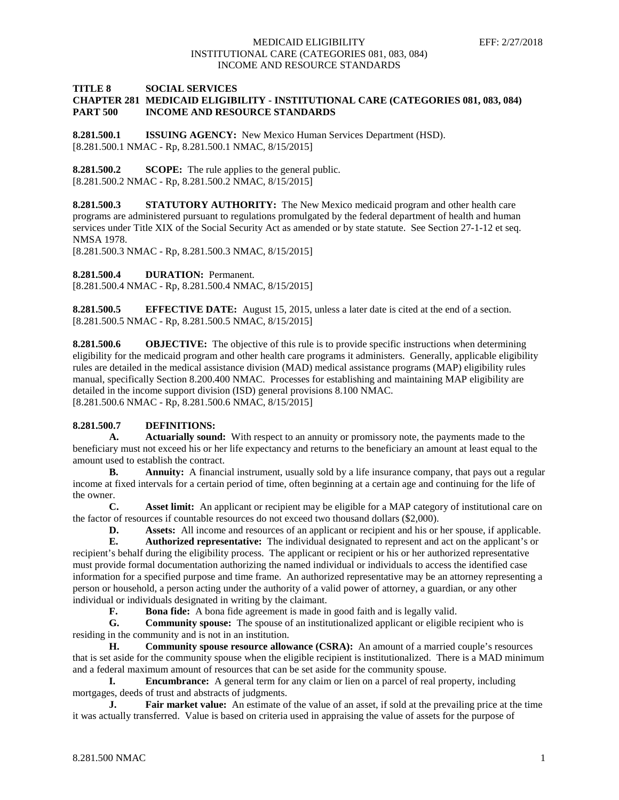#### **TITLE 8 SOCIAL SERVICES CHAPTER 281 MEDICAID ELIGIBILITY - INSTITUTIONAL CARE (CATEGORIES 081, 083, 084) PART 500 INCOME AND RESOURCE STANDARDS**

**8.281.500.1 ISSUING AGENCY:** New Mexico Human Services Department (HSD). [8.281.500.1 NMAC - Rp, 8.281.500.1 NMAC, 8/15/2015]

**8.281.500.2 SCOPE:** The rule applies to the general public. [8.281.500.2 NMAC - Rp, 8.281.500.2 NMAC, 8/15/2015]

**8.281.500.3 STATUTORY AUTHORITY:** The New Mexico medicaid program and other health care programs are administered pursuant to regulations promulgated by the federal department of health and human services under Title XIX of the Social Security Act as amended or by state statute. See Section 27-1-12 et seq. NMSA 1978.

[8.281.500.3 NMAC - Rp, 8.281.500.3 NMAC, 8/15/2015]

**8.281.500.4 DURATION:** Permanent.

[8.281.500.4 NMAC - Rp, 8.281.500.4 NMAC, 8/15/2015]

**8.281.500.5 EFFECTIVE DATE:** August 15, 2015, unless a later date is cited at the end of a section. [8.281.500.5 NMAC - Rp, 8.281.500.5 NMAC, 8/15/2015]

**8.281.500.6 OBJECTIVE:** The objective of this rule is to provide specific instructions when determining eligibility for the medicaid program and other health care programs it administers. Generally, applicable eligibility rules are detailed in the medical assistance division (MAD) medical assistance programs (MAP) eligibility rules manual, specifically Section 8.200.400 NMAC. Processes for establishing and maintaining MAP eligibility are detailed in the income support division (ISD) general provisions 8.100 NMAC. [8.281.500.6 NMAC - Rp, 8.281.500.6 NMAC, 8/15/2015]

#### **8.281.500.7 DEFINITIONS:**

**A. Actuarially sound:** With respect to an annuity or promissory note, the payments made to the beneficiary must not exceed his or her life expectancy and returns to the beneficiary an amount at least equal to the amount used to establish the contract.

**B. Annuity:** A financial instrument, usually sold by a life insurance company, that pays out a regular income at fixed intervals for a certain period of time, often beginning at a certain age and continuing for the life of the owner.

**C. Asset limit:** An applicant or recipient may be eligible for a MAP category of institutional care on the factor of resources if countable resources do not exceed two thousand dollars (\$2,000).

**D. Assets:** All income and resources of an applicant or recipient and his or her spouse, if applicable.

**E. Authorized representative:** The individual designated to represent and act on the applicant's or recipient's behalf during the eligibility process. The applicant or recipient or his or her authorized representative must provide formal documentation authorizing the named individual or individuals to access the identified case information for a specified purpose and time frame. An authorized representative may be an attorney representing a person or household, a person acting under the authority of a valid power of attorney, a guardian, or any other individual or individuals designated in writing by the claimant.<br> **F.** Bona fide: A bona fide agreement is made in

**F. Bona fide:** A bona fide agreement is made in good faith and is legally valid.<br>**G. Community spouse:** The spouse of an institutionalized applicant or eligible

**G. Community spouse:** The spouse of an institutionalized applicant or eligible recipient who is residing in the community and is not in an institution.

**H. Community spouse resource allowance (CSRA):** An amount of a married couple's resources that is set aside for the community spouse when the eligible recipient is institutionalized. There is a MAD minimum and a federal maximum amount of resources that can be set aside for the community spouse.

**I. Encumbrance:** A general term for any claim or lien on a parcel of real property, including mortgages, deeds of trust and abstracts of judgments.

**J. Fair market value:** An estimate of the value of an asset, if sold at the prevailing price at the time it was actually transferred. Value is based on criteria used in appraising the value of assets for the purpose of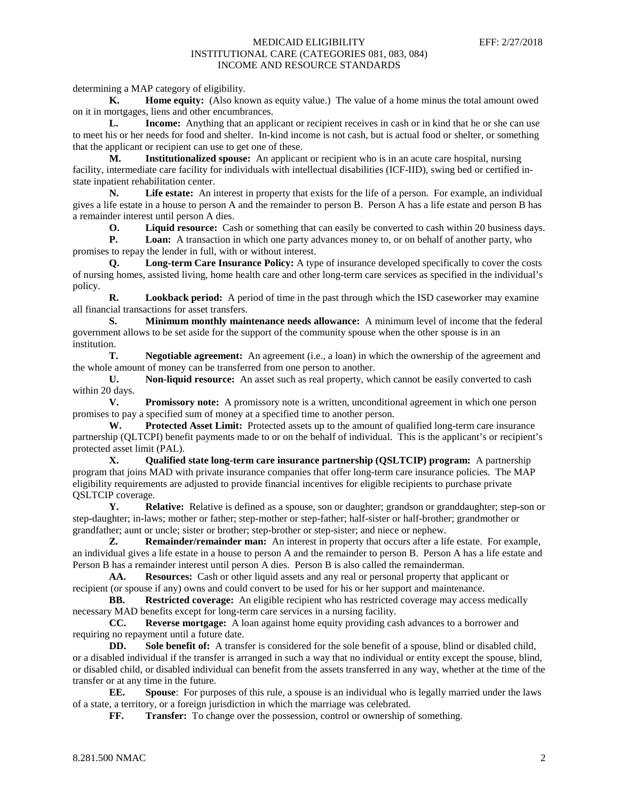determining a MAP category of eligibility.

**K. Home equity:** (Also known as equity value.) The value of a home minus the total amount owed on it in mortgages, liens and other encumbrances.

**L. Income:** Anything that an applicant or recipient receives in cash or in kind that he or she can use to meet his or her needs for food and shelter. In-kind income is not cash, but is actual food or shelter, or something that the applicant or recipient can use to get one of these.

**M. Institutionalized spouse:** An applicant or recipient who is in an acute care hospital, nursing facility, intermediate care facility for individuals with intellectual disabilities (ICF-IID), swing bed or certified instate inpatient rehabilitation center.

**N. Life estate:** An interest in property that exists for the life of a person. For example, an individual gives a life estate in a house to person A and the remainder to person B. Person A has a life estate and person B has a remainder interest until person A dies.<br> **O.** Liquid resource: Cas

**O. Liquid resource:** Cash or something that can easily be converted to cash within 20 business days.<br>**P. Loan:** A transaction in which one party advances money to, or on behalf of another party, who

**P. Loan:** A transaction in which one party advances money to, or on behalf of another party, who promises to repay the lender in full, with or without interest.

**Q. Long-term Care Insurance Policy:** A type of insurance developed specifically to cover the costs of [nursing homes, assisted living,](http://www.agingcare.com/Articles/evaluate-living-options-for-elderly-parents-95733.htm) [home health care](http://www.agingcare.com/Articles/How-do-I-Choose-Home-Care-for-Elderly-Parents-137210.htm) and other long-term care services as specified in the individual's policy.

**R. Lookback period:** A period of time in the past through which the ISD caseworker may examine all financial transactions for asset transfers.

**S. Minimum monthly maintenance needs allowance:** A minimum level of income that the federal government allows to be set aside for the support of the community spouse when the other spouse is in an institution.

**T. Negotiable agreement:** An agreement (i.e., a loan) in which the ownership of the agreement and the whole amount of money can be transferred from one person to another.

**U. Non-liquid resource:** An asset such as real property, which cannot be easily converted to cash within 20 days.

**V. Promissory note:** A promissory note is a written, unconditional agreement in which one person promises to pay a specified sum of money at a specified time to another person.

**W. Protected Asset Limit:** Protected assets up to the amount of qualified long-term care insurance partnership (QLTCPI) benefit payments made to or on the behalf of individual. This is the applicant's or recipient's protected asset limit (PAL).

**X. Qualified state long-term care insurance partnership (QSLTCIP) program:** A partnership program that joins MAD with private insurance companies that offer long-term care insurance policies. The MAP eligibility requirements are adjusted to provide financial incentives for eligible recipients to purchase private QSLTCIP coverage.

**Y. Relative:** Relative is defined as a spouse, son or daughter; grandson or granddaughter; step-son or step-daughter; in-laws; mother or father; step-mother or step-father; half-sister or half-brother; grandmother or grandfather; aunt or uncle; sister or brother; step-brother or step-sister; and niece or nephew.

**Z. Remainder/remainder man:** An interest in property that occurs after a life estate. For example, an individual gives a life estate in a house to person A and the remainder to person B. Person A has a life estate and Person B has a remainder interest until person A dies. Person B is also called the remainderman.

**AA. Resources:** Cash or other liquid assets and any real or personal property that applicant or recipient (or spouse if any) owns and could convert to be used for his or her support and maintenance.

**BB. Restricted coverage:** An eligible recipient who has restricted coverage may access medically necessary MAD benefits except for long-term care services in a nursing facility.

**CC. Reverse mortgage:** A loan against home equity providing cash advances to a borrower and requiring no repayment until a future date.<br>DD. Sole benefit of: A transit

**Sole benefit of:** A transfer is considered for the sole benefit of a spouse, blind or disabled child, or a disabled individual if the transfer is arranged in such a way that no individual or entity except the spouse, blind, or disabled child, or disabled individual can benefit from the assets transferred in any way, whether at the time of the transfer or at any time in the future.

**EE. Spouse**: For purposes of this rule, a spouse is an individual who is legally married under the laws of a state, a territory, or a foreign jurisdiction in which the marriage was celebrated.<br> **FF.** Transfer: To change over the possession, control or ownership or

**Transfer:** To change over the possession, control or ownership of something.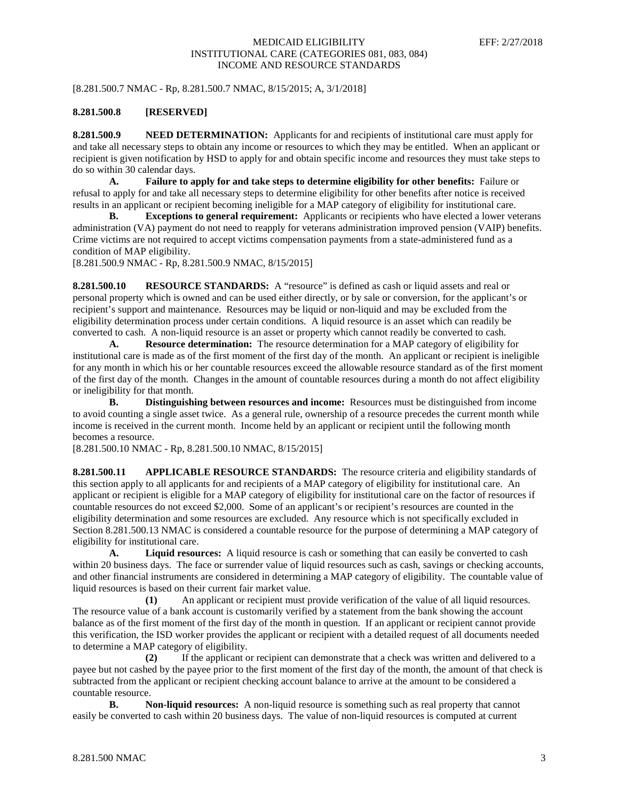[8.281.500.7 NMAC - Rp, 8.281.500.7 NMAC, 8/15/2015; A, 3/1/2018]

#### **8.281.500.8 [RESERVED]**

**8.281.500.9 NEED DETERMINATION:** Applicants for and recipients of institutional care must apply for and take all necessary steps to obtain any income or resources to which they may be entitled. When an applicant or recipient is given notification by HSD to apply for and obtain specific income and resources they must take steps to do so within 30 calendar days.

**A. Failure to apply for and take steps to determine eligibility for other benefits:** Failure or refusal to apply for and take all necessary steps to determine eligibility for other benefits after notice is received results in an applicant or recipient becoming ineligible for a MAP category of eligibility for institutional care.

**B. Exceptions to general requirement:** Applicants or recipients who have elected a lower veterans administration (VA) payment do not need to reapply for veterans administration improved pension (VAIP) benefits. Crime victims are not required to accept victims compensation payments from a state-administered fund as a condition of MAP eligibility.

[8.281.500.9 NMAC - Rp, 8.281.500.9 NMAC, 8/15/2015]

**8.281.500.10 RESOURCE STANDARDS:** A "resource" is defined as cash or liquid assets and real or personal property which is owned and can be used either directly, or by sale or conversion, for the applicant's or recipient's support and maintenance. Resources may be liquid or non-liquid and may be excluded from the eligibility determination process under certain conditions. A liquid resource is an asset which can readily be converted to cash. A non-liquid resource is an asset or property which cannot readily be converted to cash.

**A. Resource determination:** The resource determination for a MAP category of eligibility for institutional care is made as of the first moment of the first day of the month. An applicant or recipient is ineligible for any month in which his or her countable resources exceed the allowable resource standard as of the first moment of the first day of the month. Changes in the amount of countable resources during a month do not affect eligibility or ineligibility for that month.

**B. Distinguishing between resources and income:** Resources must be distinguished from income to avoid counting a single asset twice. As a general rule, ownership of a resource precedes the current month while income is received in the current month. Income held by an applicant or recipient until the following month becomes a resource.

[8.281.500.10 NMAC - Rp, 8.281.500.10 NMAC, 8/15/2015]

**8.281.500.11 APPLICABLE RESOURCE STANDARDS:** The resource criteria and eligibility standards of this section apply to all applicants for and recipients of a MAP category of eligibility for institutional care. An applicant or recipient is eligible for a MAP category of eligibility for institutional care on the factor of resources if countable resources do not exceed \$2,000. Some of an applicant's or recipient's resources are counted in the eligibility determination and some resources are excluded. Any resource which is not specifically excluded in Section 8.281.500.13 NMAC is considered a countable resource for the purpose of determining a MAP category of eligibility for institutional care.

**A. Liquid resources:** A liquid resource is cash or something that can easily be converted to cash within 20 business days. The face or surrender value of liquid resources such as cash, savings or checking accounts, and other financial instruments are considered in determining a MAP category of eligibility. The countable value of liquid resources is based on their current fair market value.

**(1)** An applicant or recipient must provide verification of the value of all liquid resources. The resource value of a bank account is customarily verified by a statement from the bank showing the account balance as of the first moment of the first day of the month in question. If an applicant or recipient cannot provide this verification, the ISD worker provides the applicant or recipient with a detailed request of all documents needed to determine a MAP category of eligibility.

**(2)** If the applicant or recipient can demonstrate that a check was written and delivered to a payee but not cashed by the payee prior to the first moment of the first day of the month, the amount of that check is subtracted from the applicant or recipient checking account balance to arrive at the amount to be considered a countable resource.

**B. Non-liquid resources:** A non-liquid resource is something such as real property that cannot easily be converted to cash within 20 business days. The value of non-liquid resources is computed at current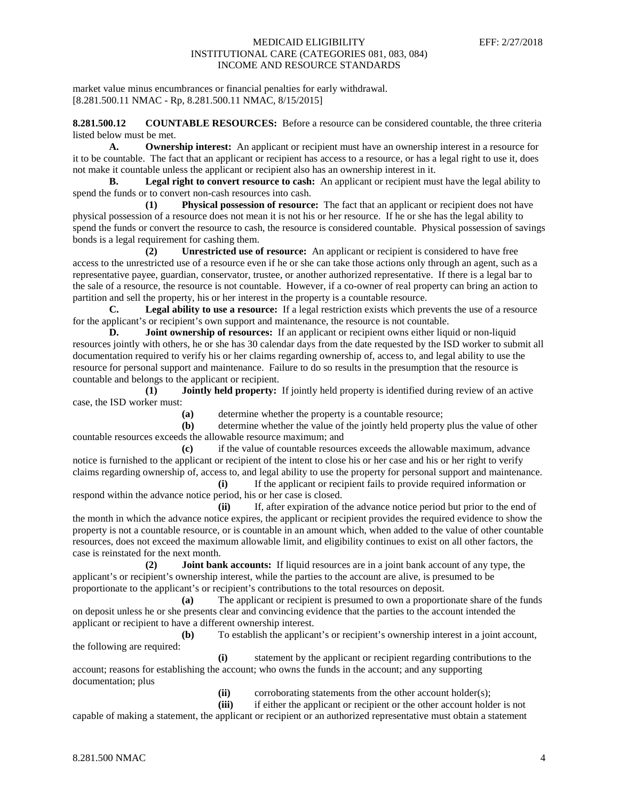market value minus encumbrances or financial penalties for early withdrawal. [8.281.500.11 NMAC - Rp, 8.281.500.11 NMAC, 8/15/2015]

**8.281.500.12 COUNTABLE RESOURCES:** Before a resource can be considered countable, the three criteria listed below must be met.

**A. Ownership interest:** An applicant or recipient must have an ownership interest in a resource for it to be countable. The fact that an applicant or recipient has access to a resource, or has a legal right to use it, does not make it countable unless the applicant or recipient also has an ownership interest in it.

**B. Legal right to convert resource to cash:** An applicant or recipient must have the legal ability to spend the funds or to convert non-cash resources into cash.

**(1) Physical possession of resource:** The fact that an applicant or recipient does not have physical possession of a resource does not mean it is not his or her resource. If he or she has the legal ability to spend the funds or convert the resource to cash, the resource is considered countable. Physical possession of savings bonds is a legal requirement for cashing them.

**(2) Unrestricted use of resource:** An applicant or recipient is considered to have free access to the unrestricted use of a resource even if he or she can take those actions only through an agent, such as a representative payee, guardian, conservator, trustee, or another authorized representative. If there is a legal bar to the sale of a resource, the resource is not countable. However, if a co-owner of real property can bring an action to partition and sell the property, his or her interest in the property is a countable resource.

**C. Legal ability to use a resource:** If a legal restriction exists which prevents the use of a resource for the applicant's or recipient's own support and maintenance, the resource is not countable.

**D. Joint ownership of resources:** If an applicant or recipient owns either liquid or non-liquid resources jointly with others, he or she has 30 calendar days from the date requested by the ISD worker to submit all documentation required to verify his or her claims regarding ownership of, access to, and legal ability to use the resource for personal support and maintenance. Failure to do so results in the presumption that the resource is countable and belongs to the applicant or recipient.

**(1) Jointly held property:** If jointly held property is identified during review of an active case, the ISD worker must:

**(a)** determine whether the property is a countable resource;

**(b)** determine whether the value of the jointly held property plus the value of other countable resources exceeds the allowable resource maximum; and

**(c)** if the value of countable resources exceeds the allowable maximum, advance notice is furnished to the applicant or recipient of the intent to close his or her case and his or her right to verify claims regarding ownership of, access to, and legal ability to use the property for personal support and maintenance.

**(i)** If the applicant or recipient fails to provide required information or respond within the advance notice period, his or her case is closed.

**(ii)** If, after expiration of the advance notice period but prior to the end of the month in which the advance notice expires, the applicant or recipient provides the required evidence to show the property is not a countable resource, or is countable in an amount which, when added to the value of other countable resources, does not exceed the maximum allowable limit, and eligibility continues to exist on all other factors, the case is reinstated for the next month.

**(2) Joint bank accounts:** If liquid resources are in a joint bank account of any type, the applicant's or recipient's ownership interest, while the parties to the account are alive, is presumed to be proportionate to the applicant's or recipient's contributions to the total resources on deposit.

**(a)** The applicant or recipient is presumed to own a proportionate share of the funds on deposit unless he or she presents clear and convincing evidence that the parties to the account intended the applicant or recipient to have a different ownership interest.

**(b)** To establish the applicant's or recipient's ownership interest in a joint account, the following are required:

**(i)** statement by the applicant or recipient regarding contributions to the account; reasons for establishing the account; who owns the funds in the account; and any supporting documentation; plus

**(ii)** corroborating statements from the other account holder(s);

**(iii)** if either the applicant or recipient or the other account holder is not capable of making a statement, the applicant or recipient or an authorized representative must obtain a statement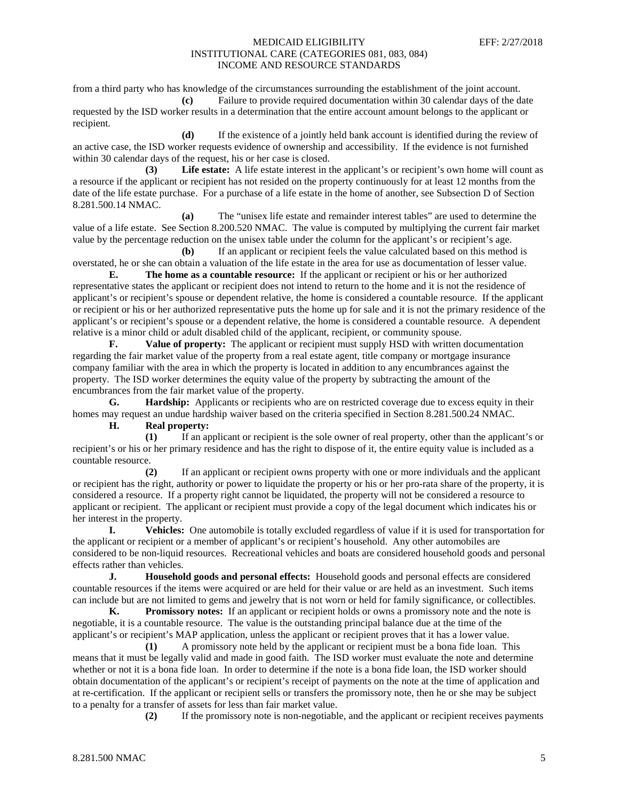from a third party who has knowledge of the circumstances surrounding the establishment of the joint account.

**(c)** Failure to provide required documentation within 30 calendar days of the date requested by the ISD worker results in a determination that the entire account amount belongs to the applicant or recipient.

**(d)** If the existence of a jointly held bank account is identified during the review of an active case, the ISD worker requests evidence of ownership and accessibility. If the evidence is not furnished within 30 calendar days of the request, his or her case is closed.

**(3) Life estate:** A life estate interest in the applicant's or recipient's own home will count as a resource if the applicant or recipient has not resided on the property continuously for at least 12 months from the date of the life estate purchase. For a purchase of a life estate in the home of another, see Subsection D of Section 8.281.500.14 NMAC.

**(a)** The "unisex life estate and remainder interest tables" are used to determine the value of a life estate. See Section 8.200.520 NMAC. The value is computed by multiplying the current fair market value by the percentage reduction on the unisex table under the column for the applicant's or recipient's age.

**(b)** If an applicant or recipient feels the value calculated based on this method is overstated, he or she can obtain a valuation of the life estate in the area for use as documentation of lesser value.

**E. The home as a countable resource:** If the applicant or recipient or his or her authorized representative states the applicant or recipient does not intend to return to the home and it is not the residence of applicant's or recipient's spouse or dependent relative, the home is considered a countable resource. If the applicant or recipient or his or her authorized representative puts the home up for sale and it is not the primary residence of the applicant's or recipient's spouse or a dependent relative, the home is considered a countable resource. A dependent relative is a minor child or adult disabled child of the applicant, recipient, or community spouse.

**F. Value of property:** The applicant or recipient must supply HSD with written documentation regarding the fair market value of the property from a real estate agent, title company or mortgage insurance company familiar with the area in which the property is located in addition to any encumbrances against the property. The ISD worker determines the equity value of the property by subtracting the amount of the encumbrances from the fair market value of the property.

**G. Hardship:** Applicants or recipients who are on restricted coverage due to excess equity in their homes may request an undue hardship waiver based on the criteria specified in Section 8.281.500.24 NMAC.

**H. Real property:**

**(1)** If an applicant or recipient is the sole owner of real property, other than the applicant's or recipient's or his or her primary residence and has the right to dispose of it, the entire equity value is included as a countable resource.

**(2)** If an applicant or recipient owns property with one or more individuals and the applicant or recipient has the right, authority or power to liquidate the property or his or her pro-rata share of the property, it is considered a resource. If a property right cannot be liquidated, the property will not be considered a resource to applicant or recipient. The applicant or recipient must provide a copy of the legal document which indicates his or her interest in the property.

**I. Vehicles:** One automobile is totally excluded regardless of value if it is used for transportation for the applicant or recipient or a member of applicant's or recipient's household. Any other automobiles are considered to be non-liquid resources. Recreational vehicles and boats are considered household goods and personal effects rather than vehicles.

**J. Household goods and personal effects:** Household goods and personal effects are considered countable resources if the items were acquired or are held for their value or are held as an investment. Such items can include but are not limited to gems and jewelry that is not worn or held for family significance, or collectibles.

**K. Promissory notes:** If an applicant or recipient holds or owns a promissory note and the note is negotiable, it is a countable resource. The value is the outstanding principal balance due at the time of the applicant's or recipient's MAP application, unless the applicant or recipient proves that it has a lower value.

**(1)** A promissory note held by the applicant or recipient must be a bona fide loan. This means that it must be legally valid and made in good faith. The ISD worker must evaluate the note and determine whether or not it is a bona fide loan. In order to determine if the note is a bona fide loan, the ISD worker should obtain documentation of the applicant's or recipient's receipt of payments on the note at the time of application and at re-certification. If the applicant or recipient sells or transfers the promissory note, then he or she may be subject to a penalty for a transfer of assets for less than fair market value.

**(2)** If the promissory note is non-negotiable, and the applicant or recipient receives payments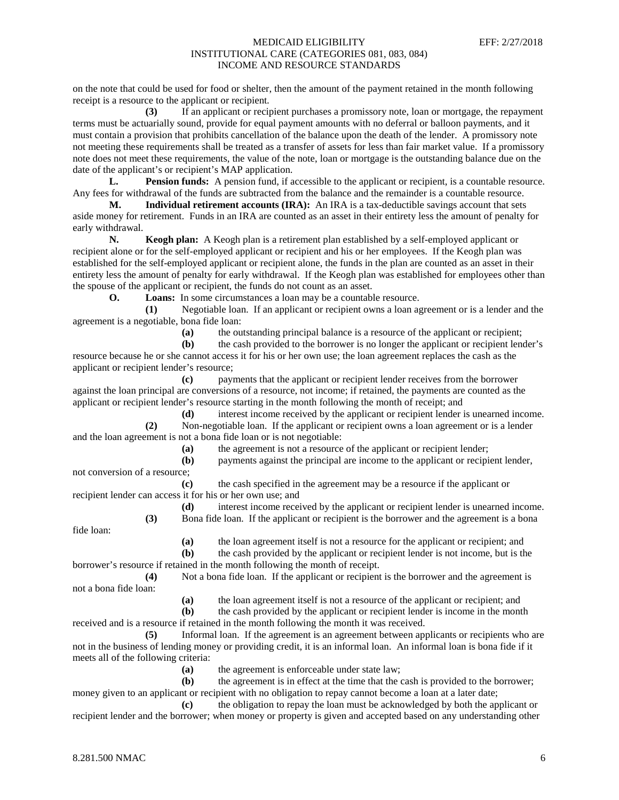on the note that could be used for food or shelter, then the amount of the payment retained in the month following receipt is a resource to the applicant or recipient.

**(3)** If an applicant or recipient purchases a promissory note, loan or mortgage, the repayment terms must be actuarially sound, provide for equal payment amounts with no deferral or balloon payments, and it must contain a provision that prohibits cancellation of the balance upon the death of the lender. A promissory note not meeting these requirements shall be treated as a transfer of assets for less than fair market value. If a promissory note does not meet these requirements, the value of the note, loan or mortgage is the outstanding balance due on the date of the applicant's or recipient's MAP application.

**L. Pension funds:** A pension fund, if accessible to the applicant or recipient, is a countable resource. Any fees for withdrawal of the funds are subtracted from the balance and the remainder is a countable resource.

**M. Individual retirement accounts (IRA):** An IRA is a tax-deductible savings account that sets aside money for retirement. Funds in an IRA are counted as an asset in their entirety less the amount of penalty for early withdrawal.

**N. Keogh plan:** A Keogh plan is a retirement plan established by a self-employed applicant or recipient alone or for the self-employed applicant or recipient and his or her employees. If the Keogh plan was established for the self-employed applicant or recipient alone, the funds in the plan are counted as an asset in their entirety less the amount of penalty for early withdrawal. If the Keogh plan was established for employees other than the spouse of the applicant or recipient, the funds do not count as an asset.<br> **O.** Loans: In some circumstances a loan may be a countable

**Loans:** In some circumstances a loan may be a countable resource.

**(1)** Negotiable loan. If an applicant or recipient owns a loan agreement or is a lender and the agreement is a negotiable, bona fide loan:<br>(a) the ou

**(a)** the outstanding principal balance is a resource of the applicant or recipient;

**(b)** the cash provided to the borrower is no longer the applicant or recipient lender's resource because he or she cannot access it for his or her own use; the loan agreement replaces the cash as the applicant or recipient lender's resource;

**(c)** payments that the applicant or recipient lender receives from the borrower against the loan principal are conversions of a resource, not income; if retained, the payments are counted as the applicant or recipient lender's resource starting in the month following the month of receipt; and

**(d)** interest income received by the applicant or recipient lender is unearned income. **(2)** Non-negotiable loan. If the applicant or recipient owns a loan agreement or is a lender and the loan agreement is not a bona fide loan or is not negotiable:

**(a)** the agreement is not a resource of the applicant or recipient lender;

**(b)** payments against the principal are income to the applicant or recipient lender, not conversion of a resource;

**(c)** the cash specified in the agreement may be a resource if the applicant or recipient lender can access it for his or her own use; and

**(d)** interest income received by the applicant or recipient lender is unearned income. **(3)** Bona fide loan. If the applicant or recipient is the borrower and the agreement is a bona

fide loan:

**(a)** the loan agreement itself is not a resource for the applicant or recipient; and

**(b)** the cash provided by the applicant or recipient lender is not income, but is the borrower's resource if retained in the month following the month of receipt.

**(4)** Not a bona fide loan. If the applicant or recipient is the borrower and the agreement is not a bona fide loan:

**(a)** the loan agreement itself is not a resource of the applicant or recipient; and

**(b)** the cash provided by the applicant or recipient lender is income in the month received and is a resource if retained in the month following the month it was received.

**(5)** Informal loan. If the agreement is an agreement between applicants or recipients who are not in the business of lending money or providing credit, it is an informal loan. An informal loan is bona fide if it meets all of the following criteria:

**(a)** the agreement is enforceable under state law;

**(b)** the agreement is in effect at the time that the cash is provided to the borrower; money given to an applicant or recipient with no obligation to repay cannot become a loan at a later date;

**(c)** the obligation to repay the loan must be acknowledged by both the applicant or recipient lender and the borrower; when money or property is given and accepted based on any understanding other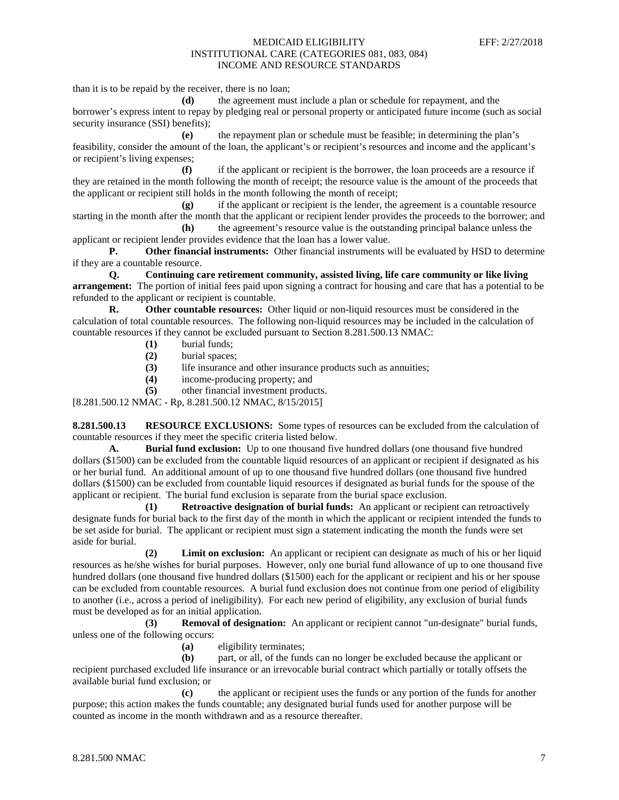than it is to be repaid by the receiver, there is no loan;

**(d)** the agreement must include a plan or schedule for repayment, and the borrower's express intent to repay by pledging real or personal property or anticipated future income (such as social security insurance (SSI) benefits);

**(e)** the repayment plan or schedule must be feasible; in determining the plan's feasibility, consider the amount of the loan, the applicant's or recipient's resources and income and the applicant's or recipient's living expenses;

**(f)** if the applicant or recipient is the borrower, the loan proceeds are a resource if they are retained in the month following the month of receipt; the resource value is the amount of the proceeds that the applicant or recipient still holds in the month following the month of receipt;

**(g)** if the applicant or recipient is the lender, the agreement is a countable resource starting in the month after the month that the applicant or recipient lender provides the proceeds to the borrower; and **(h)** the agreement's resource value is the outstanding principal balance unless the

applicant or recipient lender provides evidence that the loan has a lower value.

**P. Other financial instruments:** Other financial instruments will be evaluated by HSD to determine if they are a countable resource.

**Q. Continuing care retirement community, assisted living, life care community or like living arrangement:** The portion of initial fees paid upon signing a contract for housing and care that has a potential to be refunded to the applicant or recipient is countable.

**R. Other countable resources:** Other liquid or non-liquid resources must be considered in the calculation of total countable resources. The following non-liquid resources may be included in the calculation of countable resources if they cannot be excluded pursuant to Section 8.281.500.13 NMAC:

- **(1)** burial funds;
- **(2)** burial spaces;
- life insurance and other insurance products such as annuities;
- **(4)** income-producing property; and
- **(5)** other financial investment products.

[8.281.500.12 NMAC - Rp, 8.281.500.12 NMAC, 8/15/2015]

**8.281.500.13 RESOURCE EXCLUSIONS:** Some types of resources can be excluded from the calculation of countable resources if they meet the specific criteria listed below.

**A. Burial fund exclusion:** Up to one thousand five hundred dollars (one thousand five hundred dollars (\$1500) can be excluded from the countable liquid resources of an applicant or recipient if designated as his or her burial fund. An additional amount of up to one thousand five hundred dollars (one thousand five hundred dollars (\$1500) can be excluded from countable liquid resources if designated as burial funds for the spouse of the applicant or recipient. The burial fund exclusion is separate from the burial space exclusion.

**(1) Retroactive designation of burial funds:** An applicant or recipient can retroactively designate funds for burial back to the first day of the month in which the applicant or recipient intended the funds to be set aside for burial. The applicant or recipient must sign a statement indicating the month the funds were set aside for burial.

**(2) Limit on exclusion:** An applicant or recipient can designate as much of his or her liquid resources as he/she wishes for burial purposes. However, only one burial fund allowance of up to one thousand five hundred dollars (one thousand five hundred dollars (\$1500) each for the applicant or recipient and his or her spouse can be excluded from countable resources. A burial fund exclusion does not continue from one period of eligibility to another (i.e., across a period of ineligibility). For each new period of eligibility, any exclusion of burial funds must be developed as for an initial application.

**(3) Removal of designation:** An applicant or recipient cannot "un-designate" burial funds, unless one of the following occurs:

**(a)** eligibility terminates;

**(b)** part, or all, of the funds can no longer be excluded because the applicant or recipient purchased excluded life insurance or an irrevocable burial contract which partially or totally offsets the available burial fund exclusion; or

**(c)** the applicant or recipient uses the funds or any portion of the funds for another purpose; this action makes the funds countable; any designated burial funds used for another purpose will be counted as income in the month withdrawn and as a resource thereafter.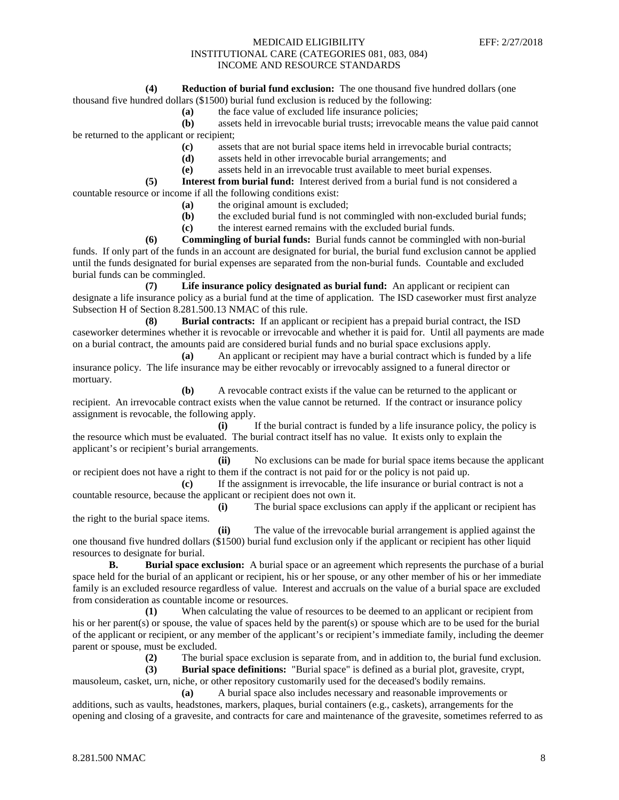#### **(4) Reduction of burial fund exclusion:** The one thousand five hundred dollars (one

thousand five hundred dollars (\$1500) burial fund exclusion is reduced by the following:

**(a)** the face value of excluded life insurance policies;

**(b)** assets held in irrevocable burial trusts; irrevocable means the value paid cannot be returned to the applicant or recipient;

- **(c)** assets that are not burial space items held in irrevocable burial contracts;
- **(d)** assets held in other irrevocable burial arrangements; and
- **(e)** assets held in an irrevocable trust available to meet burial expenses.

**(5) Interest from burial fund:** Interest derived from a burial fund is not considered a countable resource or income if all the following conditions exist:

- **(a)** the original amount is excluded;
- **(b)** the excluded burial fund is not commingled with non-excluded burial funds;
- **(c)** the interest earned remains with the excluded burial funds.

**(6) Commingling of burial funds:** Burial funds cannot be commingled with non-burial funds. If only part of the funds in an account are designated for burial, the burial fund exclusion cannot be applied until the funds designated for burial expenses are separated from the non-burial funds. Countable and excluded burial funds can be commingled.

**(7) Life insurance policy designated as burial fund:** An applicant or recipient can designate a life insurance policy as a burial fund at the time of application. The ISD caseworker must first analyze Subsection H of Section 8.281.500.13 NMAC of this rule.

**(8) Burial contracts:** If an applicant or recipient has a prepaid burial contract, the ISD caseworker determines whether it is revocable or irrevocable and whether it is paid for. Until all payments are made on a burial contract, the amounts paid are considered burial funds and no burial space exclusions apply.

**(a)** An applicant or recipient may have a burial contract which is funded by a life insurance policy. The life insurance may be either revocably or irrevocably assigned to a funeral director or mortuary.

**(b)** A revocable contract exists if the value can be returned to the applicant or recipient. An irrevocable contract exists when the value cannot be returned. If the contract or insurance policy assignment is revocable, the following apply.

**(i)** If the burial contract is funded by a life insurance policy, the policy is the resource which must be evaluated. The burial contract itself has no value. It exists only to explain the applicant's or recipient's burial arrangements.

**(ii)** No exclusions can be made for burial space items because the applicant or recipient does not have a right to them if the contract is not paid for or the policy is not paid up.

If the assignment is irrevocable, the life insurance or burial contract is not a countable resource, because the applicant or recipient does not own it.

**(i)** The burial space exclusions can apply if the applicant or recipient has the right to the burial space items.

**(ii)** The value of the irrevocable burial arrangement is applied against the one thousand five hundred dollars (\$1500) burial fund exclusion only if the applicant or recipient has other liquid resources to designate for burial.

**B. Burial space exclusion:** A burial space or an agreement which represents the purchase of a burial space held for the burial of an applicant or recipient, his or her spouse, or any other member of his or her immediate family is an excluded resource regardless of value. Interest and accruals on the value of a burial space are excluded from consideration as countable income or resources.

**(1)** When calculating the value of resources to be deemed to an applicant or recipient from his or her parent(s) or spouse, the value of spaces held by the parent(s) or spouse which are to be used for the burial of the applicant or recipient, or any member of the applicant's or recipient's immediate family, including the deemer parent or spouse, must be excluded.

**(2)** The burial space exclusion is separate from, and in addition to, the burial fund exclusion.

**(3) Burial space definitions:** "Burial space" is defined as a burial plot, gravesite, crypt, mausoleum, casket, urn, niche, or other repository customarily used for the deceased's bodily remains.

**(a)** A burial space also includes necessary and reasonable improvements or additions, such as vaults, headstones, markers, plaques, burial containers (e.g., caskets), arrangements for the opening and closing of a gravesite, and contracts for care and maintenance of the gravesite, sometimes referred to as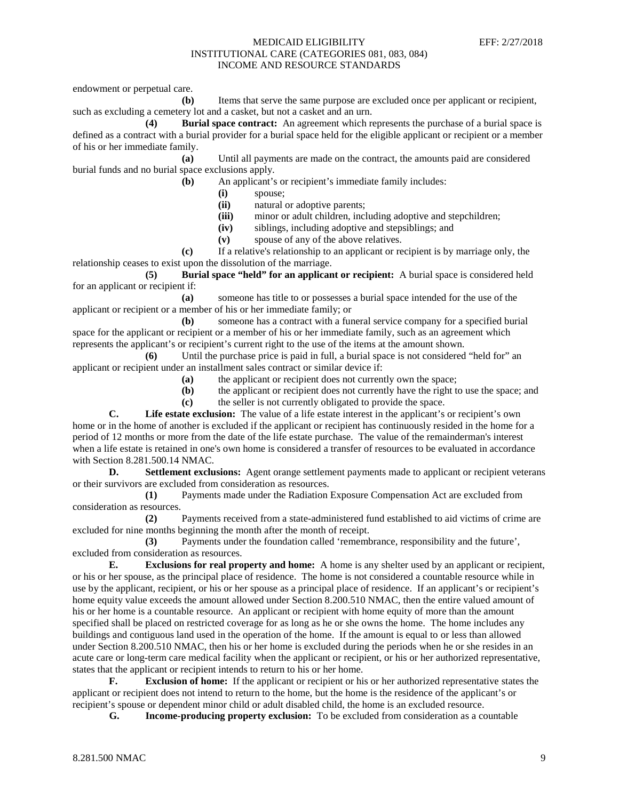endowment or perpetual care.

**(b)** Items that serve the same purpose are excluded once per applicant or recipient, such as excluding a cemetery lot and a casket, but not a casket and an urn.

**(4) Burial space contract:** An agreement which represents the purchase of a burial space is defined as a contract with a burial provider for a burial space held for the eligible applicant or recipient or a member of his or her immediate family.

**(a)** Until all payments are made on the contract, the amounts paid are considered burial funds and no burial space exclusions apply.

**(b)** An applicant's or recipient's immediate family includes:

**(i)** spouse;

**(ii)** natural or adoptive parents;

(iii) minor or adult children, including adoptive and stepchildren;<br>(iv) siblings, including adoptive and stepsiblings; and

siblings, including adoptive and stepsiblings; and

**(v)** spouse of any of the above relatives.

**(c)** If a relative's relationship to an applicant or recipient is by marriage only, the relationship ceases to exist upon the dissolution of the marriage.

**(5) Burial space "held" for an applicant or recipient:** A burial space is considered held for an applicant or recipient if:

**(a)** someone has title to or possesses a burial space intended for the use of the applicant or recipient or a member of his or her immediate family; or

**(b)** someone has a contract with a funeral service company for a specified burial space for the applicant or recipient or a member of his or her immediate family, such as an agreement which represents the applicant's or recipient's current right to the use of the items at the amount shown.

**(6)** Until the purchase price is paid in full, a burial space is not considered "held for" an applicant or recipient under an installment sales contract or similar device if:

**(a)** the applicant or recipient does not currently own the space;

**(b)** the applicant or recipient does not currently have the right to use the space; and

**(c)** the seller is not currently obligated to provide the space.

**C. Life estate exclusion:** The value of a life estate interest in the applicant's or recipient's own home or in the home of another is excluded if the applicant or recipient has continuously resided in the home for a period of 12 months or more from the date of the life estate purchase. The value of the remainderman's interest when a life estate is retained in one's own home is considered a transfer of resources to be evaluated in accordance with Section 8.281.500.14 NMAC.

**D. Settlement exclusions:** Agent orange settlement payments made to applicant or recipient veterans or their survivors are excluded from consideration as resources.

**(1)** Payments made under the Radiation Exposure Compensation Act are excluded from consideration as resources.

**(2)** Payments received from a state-administered fund established to aid victims of crime are excluded for nine months beginning the month after the month of receipt.

**(3)** Payments under the foundation called 'remembrance, responsibility and the future', excluded from consideration as resources.

**E. Exclusions for real property and home:** A home is any shelter used by an applicant or recipient, or his or her spouse, as the principal place of residence. The home is not considered a countable resource while in use by the applicant, recipient, or his or her spouse as a principal place of residence. If an applicant's or recipient's home equity value exceeds the amount allowed under Section 8.200.510 NMAC, then the entire valued amount of his or her home is a countable resource. An applicant or recipient with home equity of more than the amount specified shall be placed on restricted coverage for as long as he or she owns the home. The home includes any buildings and contiguous land used in the operation of the home. If the amount is equal to or less than allowed under Section 8.200.510 NMAC, then his or her home is excluded during the periods when he or she resides in an acute care or long-term care medical facility when the applicant or recipient, or his or her authorized representative, states that the applicant or recipient intends to return to his or her home.

**F. Exclusion of home:** If the applicant or recipient or his or her authorized representative states the applicant or recipient does not intend to return to the home, but the home is the residence of the applicant's or recipient's spouse or dependent minor child or adult disabled child, the home is an excluded resource.<br> **G.** Income-producing property exclusion: To be excluded from consideration as a co

**Income-producing property exclusion:** To be excluded from consideration as a countable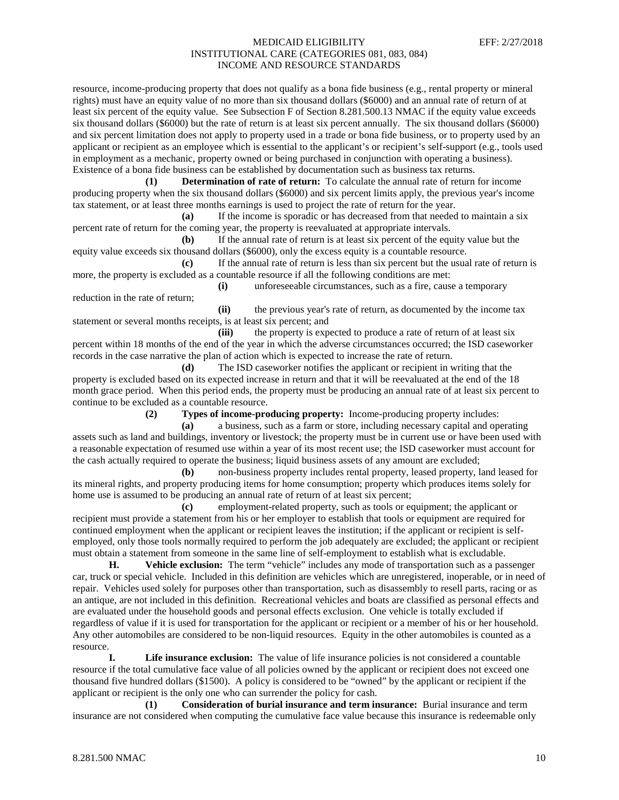resource, income-producing property that does not qualify as a bona fide business (e.g., rental property or mineral rights) must have an equity value of no more than six thousand dollars (\$6000) and an annual rate of return of at least six percent of the equity value. See Subsection F of Section 8.281.500.13 NMAC if the equity value exceeds six thousand dollars (\$6000) but the rate of return is at least six percent annually. The six thousand dollars (\$6000) and six percent limitation does not apply to property used in a trade or bona fide business, or to property used by an applicant or recipient as an employee which is essential to the applicant's or recipient's self-support (e.g., tools used in employment as a mechanic, property owned or being purchased in conjunction with operating a business). Existence of a bona fide business can be established by documentation such as business tax returns.

**(1) Determination of rate of return:** To calculate the annual rate of return for income producing property when the six thousand dollars (\$6000) and six percent limits apply, the previous year's income tax statement, or at least three months earnings is used to project the rate of return for the year.

**(a)** If the income is sporadic or has decreased from that needed to maintain a six percent rate of return for the coming year, the property is reevaluated at appropriate intervals.

**(b)** If the annual rate of return is at least six percent of the equity value but the equity value exceeds six thousand dollars (\$6000), only the excess equity is a countable resource.

**(c)** If the annual rate of return is less than six percent but the usual rate of return is more, the property is excluded as a countable resource if all the following conditions are met:

**(i)** unforeseeable circumstances, such as a fire, cause a temporary reduction in the rate of return;

**(ii)** the previous year's rate of return, as documented by the income tax statement or several months receipts, is at least six percent; and

**(iii)** the property is expected to produce a rate of return of at least six percent within 18 months of the end of the year in which the adverse circumstances occurred; the ISD caseworker records in the case narrative the plan of action which is expected to increase the rate of return.

**(d)** The ISD caseworker notifies the applicant or recipient in writing that the property is excluded based on its expected increase in return and that it will be reevaluated at the end of the 18 month grace period. When this period ends, the property must be producing an annual rate of at least six percent to continue to be excluded as a countable resource.

**(2) Types of income-producing property:** Income-producing property includes:

**(a)** a business, such as a farm or store, including necessary capital and operating assets such as land and buildings, inventory or livestock; the property must be in current use or have been used with a reasonable expectation of resumed use within a year of its most recent use; the ISD caseworker must account for the cash actually required to operate the business; liquid business assets of any amount are excluded;

**(b)** non-business property includes rental property, leased property, land leased for its mineral rights, and property producing items for home consumption; property which produces items solely for home use is assumed to be producing an annual rate of return of at least six percent;

**(c)** employment-related property, such as tools or equipment; the applicant or recipient must provide a statement from his or her employer to establish that tools or equipment are required for continued employment when the applicant or recipient leaves the institution; if the applicant or recipient is selfemployed, only those tools normally required to perform the job adequately are excluded; the applicant or recipient must obtain a statement from someone in the same line of self-employment to establish what is excludable.

**H. Vehicle exclusion:** The term "vehicle" includes any mode of transportation such as a passenger car, truck or special vehicle. Included in this definition are vehicles which are unregistered, inoperable, or in need of repair. Vehicles used solely for purposes other than transportation, such as disassembly to resell parts, racing or as an antique, are not included in this definition. Recreational vehicles and boats are classified as personal effects and are evaluated under the household goods and personal effects exclusion. One vehicle is totally excluded if regardless of value if it is used for transportation for the applicant or recipient or a member of his or her household. Any other automobiles are considered to be non-liquid resources. Equity in the other automobiles is counted as a resource.

**I. Life insurance exclusion:** The value of life insurance policies is not considered a countable resource if the total cumulative face value of all policies owned by the applicant or recipient does not exceed one thousand five hundred dollars (\$1500). A policy is considered to be "owned" by the applicant or recipient if the applicant or recipient is the only one who can surrender the policy for cash.

**(1) Consideration of burial insurance and term insurance:** Burial insurance and term insurance are not considered when computing the cumulative face value because this insurance is redeemable only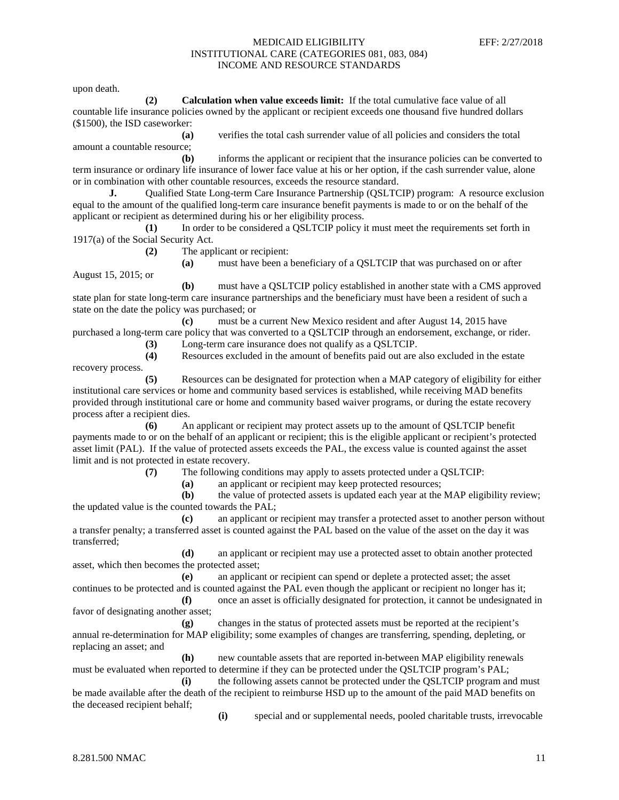upon death.

**(2) Calculation when value exceeds limit:** If the total cumulative face value of all countable life insurance policies owned by the applicant or recipient exceeds one thousand five hundred dollars (\$1500), the ISD caseworker:

**(a)** verifies the total cash surrender value of all policies and considers the total amount a countable resource;

**(b)** informs the applicant or recipient that the insurance policies can be converted to term insurance or ordinary life insurance of lower face value at his or her option, if the cash surrender value, alone or in combination with other countable resources, exceeds the resource standard.

**J.** Qualified State Long-term Care Insurance Partnership (QSLTCIP) program: A resource exclusion equal to the amount of the qualified long-term care insurance benefit payments is made to or on the behalf of the applicant or recipient as determined during his or her eligibility process.

**(1)** In order to be considered a QSLTCIP policy it must meet the requirements set forth in 1917(a) of the Social Security Act.

**(2)** The applicant or recipient:

**(a)** must have been a beneficiary of a QSLTCIP that was purchased on or after August 15, 2015; or

**(b)** must have a QSLTCIP policy established in another state with a CMS approved state plan for state long-term care insurance partnerships and the beneficiary must have been a resident of such a state on the date the policy was purchased; or

**(c)** must be a current New Mexico resident and after August 14, 2015 have purchased a long-term care policy that was converted to a QSLTCIP through an endorsement, exchange, or rider. **(3)** Long-term care insurance does not qualify as a QSLTCIP.

**(4)** Resources excluded in the amount of benefits paid out are also excluded in the estate

recovery process.

**(5)** Resources can be designated for protection when a MAP category of eligibility for either institutional care services or home and community based services is established, while receiving MAD benefits provided through institutional care or home and community based waiver programs, or during the estate recovery process after a recipient dies.

**(6)** An applicant or recipient may protect assets up to the amount of QSLTCIP benefit payments made to or on the behalf of an applicant or recipient; this is the eligible applicant or recipient's protected asset limit (PAL). If the value of protected assets exceeds the PAL, the excess value is counted against the asset limit and is not protected in estate recovery.

**(7)** The following conditions may apply to assets protected under a QSLTCIP:

**(a)** an applicant or recipient may keep protected resources;

**(b)** the value of protected assets is updated each year at the MAP eligibility review; the updated value is the counted towards the PAL;

**(c)** an applicant or recipient may transfer a protected asset to another person without a transfer penalty; a transferred asset is counted against the PAL based on the value of the asset on the day it was transferred;

**(d)** an applicant or recipient may use a protected asset to obtain another protected asset, which then becomes the protected asset;

**(e)** an applicant or recipient can spend or deplete a protected asset; the asset continues to be protected and is counted against the PAL even though the applicant or recipient no longer has it;

**(f)** once an asset is officially designated for protection, it cannot be undesignated in favor of designating another asset;

**(g)** changes in the status of protected assets must be reported at the recipient's annual re-determination for MAP eligibility; some examples of changes are transferring, spending, depleting, or replacing an asset; and

**(h)** new countable assets that are reported in-between MAP eligibility renewals must be evaluated when reported to determine if they can be protected under the QSLTCIP program's PAL;

**(i)** the following assets cannot be protected under the QSLTCIP program and must be made available after the death of the recipient to reimburse HSD up to the amount of the paid MAD benefits on the deceased recipient behalf;

**(i)** special and or supplemental needs, pooled charitable trusts, irrevocable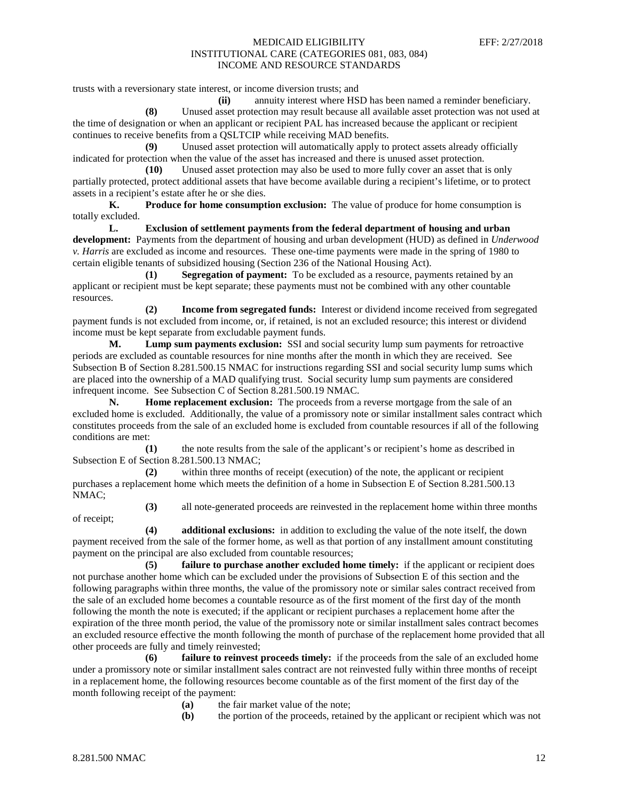trusts with a reversionary state interest, or income diversion trusts; and

**(ii)** annuity interest where HSD has been named a reminder beneficiary. **(8)** Unused asset protection may result because all available asset protection was not used at the time of designation or when an applicant or recipient PAL has increased because the applicant or recipient continues to receive benefits from a QSLTCIP while receiving MAD benefits.

**(9)** Unused asset protection will automatically apply to protect assets already officially indicated for protection when the value of the asset has increased and there is unused asset protection.

**(10)** Unused asset protection may also be used to more fully cover an asset that is only partially protected, protect additional assets that have become available during a recipient's lifetime, or to protect assets in a recipient's estate after he or she dies.

**K. Produce for home consumption exclusion:** The value of produce for home consumption is totally excluded.

**L. Exclusion of settlement payments from the federal department of housing and urban development:** Payments from the department of housing and urban development (HUD) as defined in *Underwood v. Harris* are excluded as income and resources. These one-time payments were made in the spring of 1980 to certain eligible tenants of subsidized housing (Section 236 of the National Housing Act).

**(1) Segregation of payment:** To be excluded as a resource, payments retained by an applicant or recipient must be kept separate; these payments must not be combined with any other countable resources.

**(2) Income from segregated funds:** Interest or dividend income received from segregated payment funds is not excluded from income, or, if retained, is not an excluded resource; this interest or dividend income must be kept separate from excludable payment funds.

**M. Lump sum payments exclusion:** SSI and social security lump sum payments for retroactive periods are excluded as countable resources for nine months after the month in which they are received. See Subsection B of Section 8.281.500.15 NMAC for instructions regarding SSI and social security lump sums which are placed into the ownership of a MAD qualifying trust. Social security lump sum payments are considered infrequent income. See Subsection C of Section 8.281.500.19 NMAC.

**N. Home replacement exclusion:** The proceeds from a reverse mortgage from the sale of an excluded home is excluded. Additionally, the value of a promissory note or similar installment sales contract which constitutes proceeds from the sale of an excluded home is excluded from countable resources if all of the following conditions are met:

**(1)** the note results from the sale of the applicant's or recipient's home as described in Subsection E of Section 8.281.500.13 NMAC;

**(2)** within three months of receipt (execution) of the note, the applicant or recipient purchases a replacement home which meets the definition of a home in Subsection E of Section 8.281.500.13 NMAC;

of receipt;

**(3)** all note-generated proceeds are reinvested in the replacement home within three months

**(4) additional exclusions:** in addition to excluding the value of the note itself, the down payment received from the sale of the former home, as well as that portion of any installment amount constituting payment on the principal are also excluded from countable resources;

**(5) failure to purchase another excluded home timely:** if the applicant or recipient does not purchase another home which can be excluded under the provisions of Subsection E of this section and the following paragraphs within three months, the value of the promissory note or similar sales contract received from the sale of an excluded home becomes a countable resource as of the first moment of the first day of the month following the month the note is executed; if the applicant or recipient purchases a replacement home after the expiration of the three month period, the value of the promissory note or similar installment sales contract becomes an excluded resource effective the month following the month of purchase of the replacement home provided that all other proceeds are fully and timely reinvested;

**(6) failure to reinvest proceeds timely:** if the proceeds from the sale of an excluded home under a promissory note or similar installment sales contract are not reinvested fully within three months of receipt in a replacement home, the following resources become countable as of the first moment of the first day of the month following receipt of the payment:

- **(a)** the fair market value of the note;
- **(b)** the portion of the proceeds, retained by the applicant or recipient which was not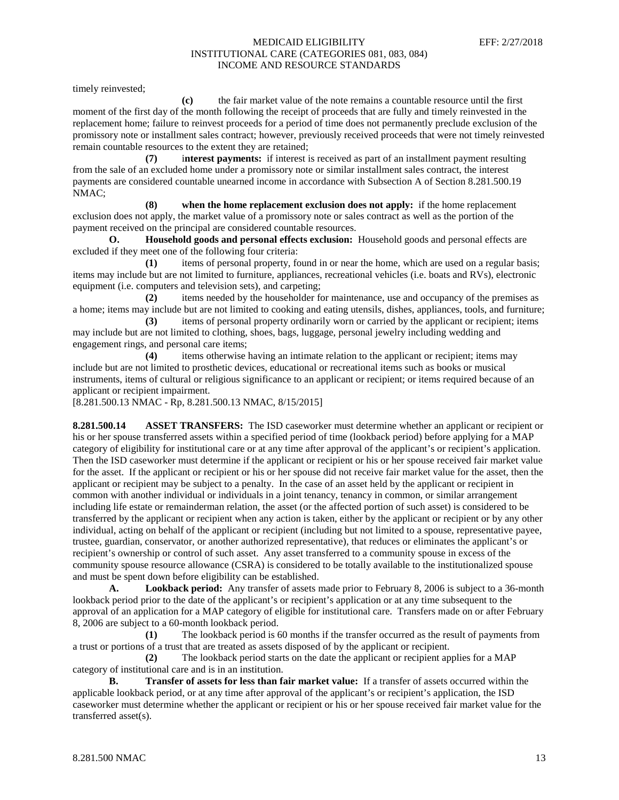timely reinvested;

**(c)** the fair market value of the note remains a countable resource until the first moment of the first day of the month following the receipt of proceeds that are fully and timely reinvested in the replacement home; failure to reinvest proceeds for a period of time does not permanently preclude exclusion of the promissory note or installment sales contract; however, previously received proceeds that were not timely reinvested remain countable resources to the extent they are retained;

**(7)** i**nterest payments:** if interest is received as part of an installment payment resulting from the sale of an excluded home under a promissory note or similar installment sales contract, the interest payments are considered countable unearned income in accordance with Subsection A of Section 8.281.500.19 NMAC;

**(8) when the home replacement exclusion does not apply:** if the home replacement exclusion does not apply, the market value of a promissory note or sales contract as well as the portion of the payment received on the principal are considered countable resources.

**O. Household goods and personal effects exclusion:** Household goods and personal effects are excluded if they meet one of the following four criteria:

**(1)** items of personal property, found in or near the home, which are used on a regular basis; items may include but are not limited to furniture, appliances, recreational vehicles (i.e. boats and RVs), electronic equipment (i.e. computers and television sets), and carpeting;

**(2)** items needed by the householder for maintenance, use and occupancy of the premises as a home; items may include but are not limited to cooking and eating utensils, dishes, appliances, tools, and furniture;

**(3)** items of personal property ordinarily worn or carried by the applicant or recipient; items may include but are not limited to clothing, shoes, bags, luggage, personal jewelry including wedding and engagement rings, and personal care items;

**(4)** items otherwise having an intimate relation to the applicant or recipient; items may include but are not limited to prosthetic devices, educational or recreational items such as books or musical instruments, items of cultural or religious significance to an applicant or recipient; or items required because of an applicant or recipient impairment.

[8.281.500.13 NMAC - Rp, 8.281.500.13 NMAC, 8/15/2015]

**8.281.500.14 ASSET TRANSFERS:** The ISD caseworker must determine whether an applicant or recipient or his or her spouse transferred assets within a specified period of time (lookback period) before applying for a MAP category of eligibility for institutional care or at any time after approval of the applicant's or recipient's application. Then the ISD caseworker must determine if the applicant or recipient or his or her spouse received fair market value for the asset. If the applicant or recipient or his or her spouse did not receive fair market value for the asset, then the applicant or recipient may be subject to a penalty. In the case of an asset held by the applicant or recipient in common with another individual or individuals in a joint tenancy, tenancy in common, or similar arrangement including life estate or remainderman relation, the asset (or the affected portion of such asset) is considered to be transferred by the applicant or recipient when any action is taken, either by the applicant or recipient or by any other individual, acting on behalf of the applicant or recipient (including but not limited to a spouse, representative payee, trustee, guardian, conservator, or another authorized representative), that reduces or eliminates the applicant's or recipient's ownership or control of such asset. Any asset transferred to a community spouse in excess of the community spouse resource allowance (CSRA) is considered to be totally available to the institutionalized spouse and must be spent down before eligibility can be established.

**A. Lookback period:** Any transfer of assets made prior to February 8, 2006 is subject to a 36-month lookback period prior to the date of the applicant's or recipient's application or at any time subsequent to the approval of an application for a MAP category of eligible for institutional care. Transfers made on or after February 8, 2006 are subject to a 60-month lookback period.

**(1)** The lookback period is 60 months if the transfer occurred as the result of payments from a trust or portions of a trust that are treated as assets disposed of by the applicant or recipient.

**(2)** The lookback period starts on the date the applicant or recipient applies for a MAP category of institutional care and is in an institution.

**B. Transfer of assets for less than fair market value:** If a transfer of assets occurred within the applicable lookback period, or at any time after approval of the applicant's or recipient's application, the ISD caseworker must determine whether the applicant or recipient or his or her spouse received fair market value for the transferred asset(s).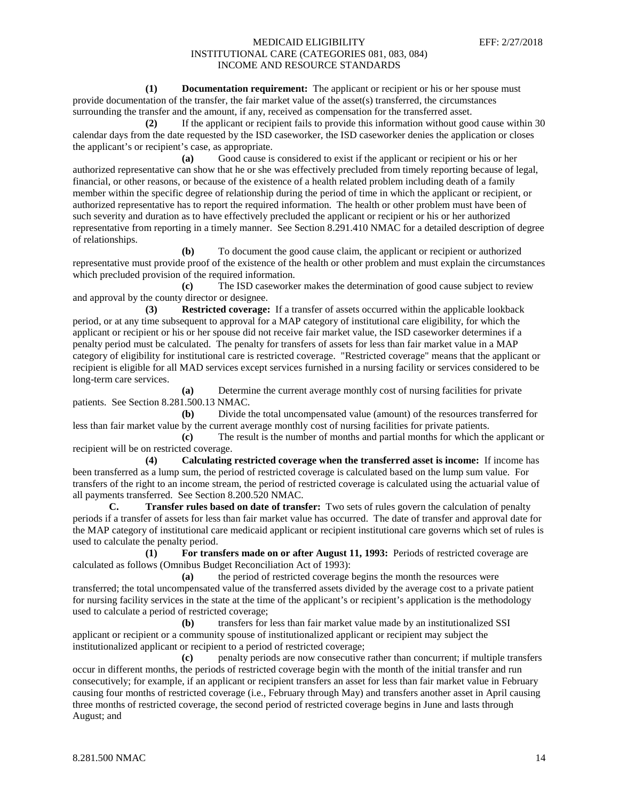**(1) Documentation requirement:** The applicant or recipient or his or her spouse must provide documentation of the transfer, the fair market value of the asset(s) transferred, the circumstances surrounding the transfer and the amount, if any, received as compensation for the transferred asset.

**(2)** If the applicant or recipient fails to provide this information without good cause within 30 calendar days from the date requested by the ISD caseworker, the ISD caseworker denies the application or closes the applicant's or recipient's case, as appropriate.

**(a)** Good cause is considered to exist if the applicant or recipient or his or her authorized representative can show that he or she was effectively precluded from timely reporting because of legal, financial, or other reasons, or because of the existence of a health related problem including death of a family member within the specific degree of relationship during the period of time in which the applicant or recipient, or authorized representative has to report the required information. The health or other problem must have been of such severity and duration as to have effectively precluded the applicant or recipient or his or her authorized representative from reporting in a timely manner. See Section 8.291.410 NMAC for a detailed description of degree of relationships.

**(b)** To document the good cause claim, the applicant or recipient or authorized representative must provide proof of the existence of the health or other problem and must explain the circumstances which precluded provision of the required information.

**(c)** The ISD caseworker makes the determination of good cause subject to review and approval by the county director or designee.

**(3) Restricted coverage:** If a transfer of assets occurred within the applicable lookback period, or at any time subsequent to approval for a MAP category of institutional care eligibility, for which the applicant or recipient or his or her spouse did not receive fair market value, the ISD caseworker determines if a penalty period must be calculated. The penalty for transfers of assets for less than fair market value in a MAP category of eligibility for institutional care is restricted coverage. "Restricted coverage" means that the applicant or recipient is eligible for all MAD services except services furnished in a nursing facility or services considered to be long-term care services.

**(a)** Determine the current average monthly cost of nursing facilities for private patients. See Section 8.281.500.13 NMAC.

**(b)** Divide the total uncompensated value (amount) of the resources transferred for less than fair market value by the current average monthly cost of nursing facilities for private patients.

**(c)** The result is the number of months and partial months for which the applicant or recipient will be on restricted coverage.

**(4) Calculating restricted coverage when the transferred asset is income:** If income has been transferred as a lump sum, the period of restricted coverage is calculated based on the lump sum value. For transfers of the right to an income stream, the period of restricted coverage is calculated using the actuarial value of all payments transferred. See Section 8.200.520 NMAC.

**C. Transfer rules based on date of transfer:** Two sets of rules govern the calculation of penalty periods if a transfer of assets for less than fair market value has occurred. The date of transfer and approval date for the MAP category of institutional care medicaid applicant or recipient institutional care governs which set of rules is used to calculate the penalty period.

**(1) For transfers made on or after August 11, 1993:** Periods of restricted coverage are calculated as follows (Omnibus Budget Reconciliation Act of 1993):

**(a)** the period of restricted coverage begins the month the resources were transferred; the total uncompensated value of the transferred assets divided by the average cost to a private patient for nursing facility services in the state at the time of the applicant's or recipient's application is the methodology used to calculate a period of restricted coverage;

**(b)** transfers for less than fair market value made by an institutionalized SSI applicant or recipient or a community spouse of institutionalized applicant or recipient may subject the institutionalized applicant or recipient to a period of restricted coverage;

**(c)** penalty periods are now consecutive rather than concurrent; if multiple transfers occur in different months, the periods of restricted coverage begin with the month of the initial transfer and run consecutively; for example, if an applicant or recipient transfers an asset for less than fair market value in February causing four months of restricted coverage (i.e., February through May) and transfers another asset in April causing three months of restricted coverage, the second period of restricted coverage begins in June and lasts through August; and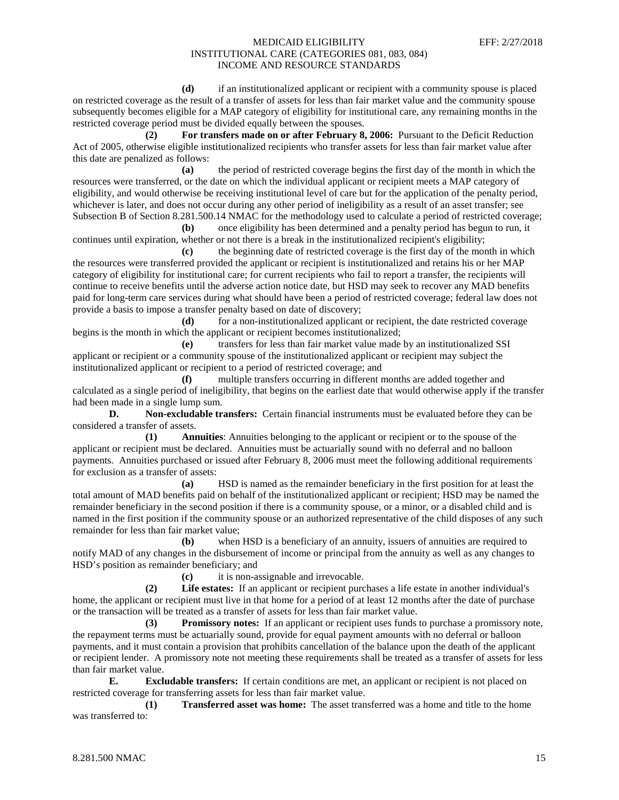**(d)** if an institutionalized applicant or recipient with a community spouse is placed on restricted coverage as the result of a transfer of assets for less than fair market value and the community spouse subsequently becomes eligible for a MAP category of eligibility for institutional care, any remaining months in the restricted coverage period must be divided equally between the spouses.

**(2) For transfers made on or after February 8, 2006:** Pursuant to the Deficit Reduction Act of 2005, otherwise eligible institutionalized recipients who transfer assets for less than fair market value after this date are penalized as follows:

**(a)** the period of restricted coverage begins the first day of the month in which the resources were transferred, or the date on which the individual applicant or recipient meets a MAP category of eligibility, and would otherwise be receiving institutional level of care but for the application of the penalty period, whichever is later, and does not occur during any other period of ineligibility as a result of an asset transfer; see Subsection B of Section 8.281.500.14 NMAC for the methodology used to calculate a period of restricted coverage;

**(b)** once eligibility has been determined and a penalty period has begun to run, it continues until expiration, whether or not there is a break in the institutionalized recipient's eligibility;

**(c)** the beginning date of restricted coverage is the first day of the month in which the resources were transferred provided the applicant or recipient is institutionalized and retains his or her MAP category of eligibility for institutional care; for current recipients who fail to report a transfer, the recipients will continue to receive benefits until the adverse action notice date, but HSD may seek to recover any MAD benefits paid for long-term care services during what should have been a period of restricted coverage; federal law does not provide a basis to impose a transfer penalty based on date of discovery;

**(d)** for a non-institutionalized applicant or recipient, the date restricted coverage begins is the month in which the applicant or recipient becomes institutionalized;

**(e)** transfers for less than fair market value made by an institutionalized SSI applicant or recipient or a community spouse of the institutionalized applicant or recipient may subject the institutionalized applicant or recipient to a period of restricted coverage; and

**(f)** multiple transfers occurring in different months are added together and calculated as a single period of ineligibility, that begins on the earliest date that would otherwise apply if the transfer had been made in a single lump sum.

**D. Non-excludable transfers:** Certain financial instruments must be evaluated before they can be considered a transfer of assets.

**(1) Annuities**: Annuities belonging to the applicant or recipient or to the spouse of the applicant or recipient must be declared. Annuities must be actuarially sound with no deferral and no balloon payments. Annuities purchased or issued after February 8, 2006 must meet the following additional requirements for exclusion as a transfer of assets:

**(a)** HSD is named as the remainder beneficiary in the first position for at least the total amount of MAD benefits paid on behalf of the institutionalized applicant or recipient; HSD may be named the remainder beneficiary in the second position if there is a community spouse, or a minor, or a disabled child and is named in the first position if the community spouse or an authorized representative of the child disposes of any such remainder for less than fair market value;

**(b)** when HSD is a beneficiary of an annuity, issuers of annuities are required to notify MAD of any changes in the disbursement of income or principal from the annuity as well as any changes to HSD's position as remainder beneficiary; and

**(c)** it is non-assignable and irrevocable.

**(2) Life estates:** If an applicant or recipient purchases a life estate in another individual's home, the applicant or recipient must live in that home for a period of at least 12 months after the date of purchase or the transaction will be treated as a transfer of assets for less than fair market value.

**(3) Promissory notes:** If an applicant or recipient uses funds to purchase a promissory note, the repayment terms must be actuarially sound, provide for equal payment amounts with no deferral or balloon payments, and it must contain a provision that prohibits cancellation of the balance upon the death of the applicant or recipient lender. A promissory note not meeting these requirements shall be treated as a transfer of assets for less than fair market value.

**E. Excludable transfers:** If certain conditions are met, an applicant or recipient is not placed on restricted coverage for transferring assets for less than fair market value.

**(1) Transferred asset was home:** The asset transferred was a home and title to the home was transferred to: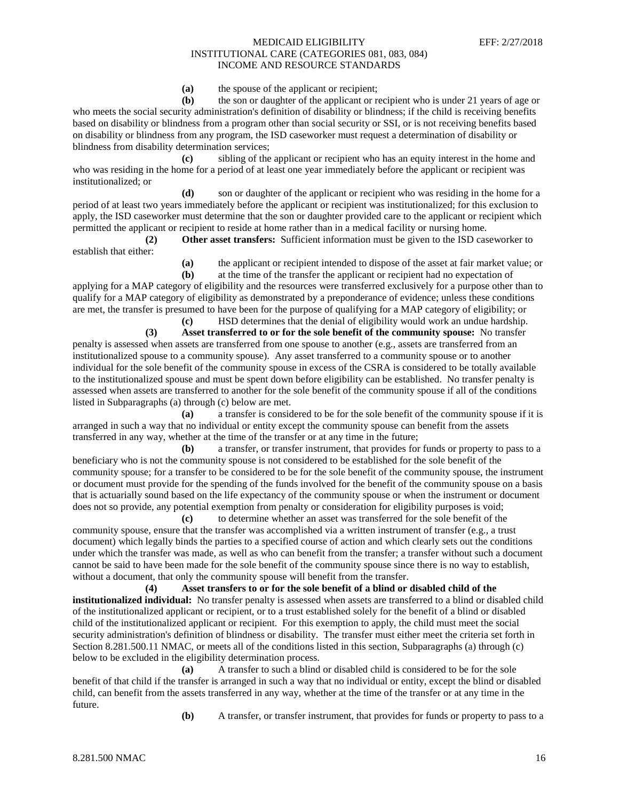**(a)** the spouse of the applicant or recipient;

**(b)** the son or daughter of the applicant or recipient who is under 21 years of age or who meets the social security administration's definition of disability or blindness; if the child is receiving benefits based on disability or blindness from a program other than social security or SSI, or is not receiving benefits based on disability or blindness from any program, the ISD caseworker must request a determination of disability or blindness from disability determination services;

**(c)** sibling of the applicant or recipient who has an equity interest in the home and who was residing in the home for a period of at least one year immediately before the applicant or recipient was institutionalized; or

**(d)** son or daughter of the applicant or recipient who was residing in the home for a period of at least two years immediately before the applicant or recipient was institutionalized; for this exclusion to apply, the ISD caseworker must determine that the son or daughter provided care to the applicant or recipient which permitted the applicant or recipient to reside at home rather than in a medical facility or nursing home.

**(2) Other asset transfers:** Sufficient information must be given to the ISD caseworker to establish that either:

**(a)** the applicant or recipient intended to dispose of the asset at fair market value; or **(b)** at the time of the transfer the applicant or recipient had no expectation of

applying for a MAP category of eligibility and the resources were transferred exclusively for a purpose other than to qualify for a MAP category of eligibility as demonstrated by a preponderance of evidence; unless these conditions are met, the transfer is presumed to have been for the purpose of qualifying for a MAP category of eligibility; or **(c)** HSD determines that the denial of eligibility would work an undue hardship.

**(3) Asset transferred to or for the sole benefit of the community spouse:** No transfer penalty is assessed when assets are transferred from one spouse to another (e.g., assets are transferred from an institutionalized spouse to a community spouse). Any asset transferred to a community spouse or to another individual for the sole benefit of the community spouse in excess of the CSRA is considered to be totally available to the institutionalized spouse and must be spent down before eligibility can be established. No transfer penalty is assessed when assets are transferred to another for the sole benefit of the community spouse if all of the conditions listed in Subparagraphs (a) through (c) below are met.

**(a)** a transfer is considered to be for the sole benefit of the community spouse if it is arranged in such a way that no individual or entity except the community spouse can benefit from the assets transferred in any way, whether at the time of the transfer or at any time in the future;

**(b)** a transfer, or transfer instrument, that provides for funds or property to pass to a beneficiary who is not the community spouse is not considered to be established for the sole benefit of the community spouse; for a transfer to be considered to be for the sole benefit of the community spouse, the instrument or document must provide for the spending of the funds involved for the benefit of the community spouse on a basis that is actuarially sound based on the life expectancy of the community spouse or when the instrument or document does not so provide, any potential exemption from penalty or consideration for eligibility purposes is void;

**(c)** to determine whether an asset was transferred for the sole benefit of the community spouse, ensure that the transfer was accomplished via a written instrument of transfer (e.g., a trust document) which legally binds the parties to a specified course of action and which clearly sets out the conditions under which the transfer was made, as well as who can benefit from the transfer; a transfer without such a document cannot be said to have been made for the sole benefit of the community spouse since there is no way to establish, without a document, that only the community spouse will benefit from the transfer.

**(4) Asset transfers to or for the sole benefit of a blind or disabled child of the institutionalized individual:** No transfer penalty is assessed when assets are transferred to a blind or disabled child of the institutionalized applicant or recipient, or to a trust established solely for the benefit of a blind or disabled child of the institutionalized applicant or recipient. For this exemption to apply, the child must meet the social security administration's definition of blindness or disability. The transfer must either meet the criteria set forth in Section 8.281.500.11 NMAC, or meets all of the conditions listed in this section, Subparagraphs (a) through (c) below to be excluded in the eligibility determination process.

**(a)** A transfer to such a blind or disabled child is considered to be for the sole benefit of that child if the transfer is arranged in such a way that no individual or entity, except the blind or disabled child, can benefit from the assets transferred in any way, whether at the time of the transfer or at any time in the future.

**(b)** A transfer, or transfer instrument, that provides for funds or property to pass to a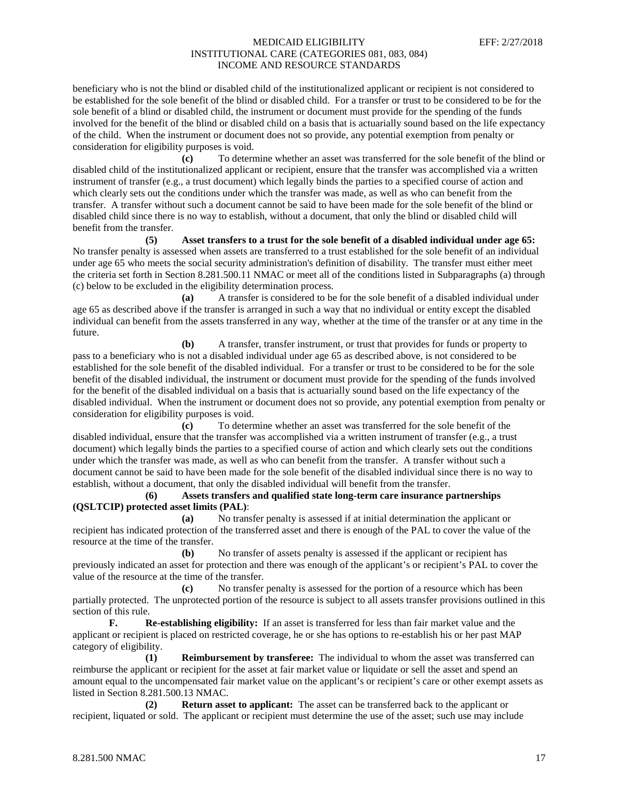beneficiary who is not the blind or disabled child of the institutionalized applicant or recipient is not considered to be established for the sole benefit of the blind or disabled child. For a transfer or trust to be considered to be for the sole benefit of a blind or disabled child, the instrument or document must provide for the spending of the funds involved for the benefit of the blind or disabled child on a basis that is actuarially sound based on the life expectancy of the child. When the instrument or document does not so provide, any potential exemption from penalty or consideration for eligibility purposes is void.

**(c)** To determine whether an asset was transferred for the sole benefit of the blind or disabled child of the institutionalized applicant or recipient, ensure that the transfer was accomplished via a written instrument of transfer (e.g., a trust document) which legally binds the parties to a specified course of action and which clearly sets out the conditions under which the transfer was made, as well as who can benefit from the transfer. A transfer without such a document cannot be said to have been made for the sole benefit of the blind or disabled child since there is no way to establish, without a document, that only the blind or disabled child will benefit from the transfer.

**(5) Asset transfers to a trust for the sole benefit of a disabled individual under age 65:** No transfer penalty is assessed when assets are transferred to a trust established for the sole benefit of an individual under age 65 who meets the social security administration's definition of disability. The transfer must either meet the criteria set forth in Section 8.281.500.11 NMAC or meet all of the conditions listed in Subparagraphs (a) through (c) below to be excluded in the eligibility determination process.

**(a)** A transfer is considered to be for the sole benefit of a disabled individual under age 65 as described above if the transfer is arranged in such a way that no individual or entity except the disabled individual can benefit from the assets transferred in any way, whether at the time of the transfer or at any time in the future.

**(b)** A transfer, transfer instrument, or trust that provides for funds or property to pass to a beneficiary who is not a disabled individual under age 65 as described above, is not considered to be established for the sole benefit of the disabled individual. For a transfer or trust to be considered to be for the sole benefit of the disabled individual, the instrument or document must provide for the spending of the funds involved for the benefit of the disabled individual on a basis that is actuarially sound based on the life expectancy of the disabled individual. When the instrument or document does not so provide, any potential exemption from penalty or consideration for eligibility purposes is void.

**(c)** To determine whether an asset was transferred for the sole benefit of the disabled individual, ensure that the transfer was accomplished via a written instrument of transfer (e.g., a trust document) which legally binds the parties to a specified course of action and which clearly sets out the conditions under which the transfer was made, as well as who can benefit from the transfer. A transfer without such a document cannot be said to have been made for the sole benefit of the disabled individual since there is no way to establish, without a document, that only the disabled individual will benefit from the transfer.

**(6) Assets transfers and qualified state long-term care insurance partnerships (QSLTCIP) protected asset limits (PAL)**:

**(a)** No transfer penalty is assessed if at initial determination the applicant or recipient has indicated protection of the transferred asset and there is enough of the PAL to cover the value of the resource at the time of the transfer.

**(b)** No transfer of assets penalty is assessed if the applicant or recipient has previously indicated an asset for protection and there was enough of the applicant's or recipient's PAL to cover the value of the resource at the time of the transfer.

**(c)** No transfer penalty is assessed for the portion of a resource which has been partially protected. The unprotected portion of the resource is subject to all assets transfer provisions outlined in this section of this rule.

**F. Re-establishing eligibility:** If an asset is transferred for less than fair market value and the applicant or recipient is placed on restricted coverage, he or she has options to re-establish his or her past MAP category of eligibility.

**(1) Reimbursement by transferee:** The individual to whom the asset was transferred can reimburse the applicant or recipient for the asset at fair market value or liquidate or sell the asset and spend an amount equal to the uncompensated fair market value on the applicant's or recipient's care or other exempt assets as listed in Section 8.281.500.13 NMAC.

**(2) Return asset to applicant:** The asset can be transferred back to the applicant or recipient, liquated or sold. The applicant or recipient must determine the use of the asset; such use may include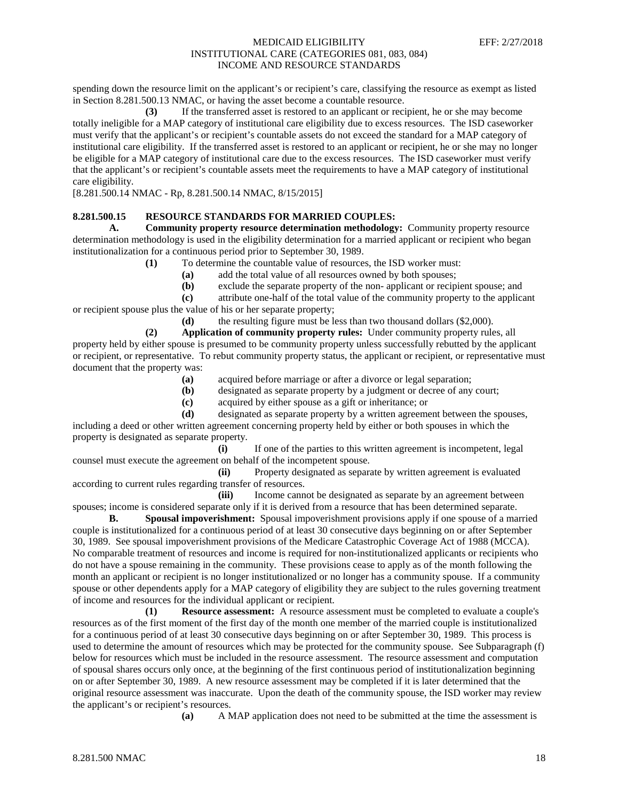spending down the resource limit on the applicant's or recipient's care, classifying the resource as exempt as listed in Section 8.281.500.13 NMAC, or having the asset become a countable resource.

**(3)** If the transferred asset is restored to an applicant or recipient, he or she may become totally ineligible for a MAP category of institutional care eligibility due to excess resources. The ISD caseworker must verify that the applicant's or recipient's countable assets do not exceed the standard for a MAP category of institutional care eligibility. If the transferred asset is restored to an applicant or recipient, he or she may no longer be eligible for a MAP category of institutional care due to the excess resources. The ISD caseworker must verify that the applicant's or recipient's countable assets meet the requirements to have a MAP category of institutional care eligibility.

[8.281.500.14 NMAC - Rp, 8.281.500.14 NMAC, 8/15/2015]

#### **8.281.500.15 RESOURCE STANDARDS FOR MARRIED COUPLES:**

**A. Community property resource determination methodology:** Community property resource determination methodology is used in the eligibility determination for a married applicant or recipient who began institutionalization for a continuous period prior to September 30, 1989.

- **(1)** To determine the countable value of resources, the ISD worker must:
	- **(a)** add the total value of all resources owned by both spouses;
	- **(b)** exclude the separate property of the non- applicant or recipient spouse; and

**(c)** attribute one-half of the total value of the community property to the applicant or recipient spouse plus the value of his or her separate property;

**(d)** the resulting figure must be less than two thousand dollars (\$2,000).

**(2) Application of community property rules:** Under community property rules, all property held by either spouse is presumed to be community property unless successfully rebutted by the applicant or recipient, or representative. To rebut community property status, the applicant or recipient, or representative must document that the property was:

- **(a)** acquired before marriage or after a divorce or legal separation;
- **(b)** designated as separate property by a judgment or decree of any court;
- **(c)** acquired by either spouse as a gift or inheritance; or

**(d)** designated as separate property by a written agreement between the spouses, including a deed or other written agreement concerning property held by either or both spouses in which the property is designated as separate property.

**(i)** If one of the parties to this written agreement is incompetent, legal counsel must execute the agreement on behalf of the incompetent spouse.

**(ii)** Property designated as separate by written agreement is evaluated according to current rules regarding transfer of resources.

(iii) Income cannot be designated as separate by an agreement between spouses; income is considered separate only if it is derived from a resource that has been determined separate.

**B. Spousal impoverishment:** Spousal impoverishment provisions apply if one spouse of a married couple is institutionalized for a continuous period of at least 30 consecutive days beginning on or after September 30, 1989. See spousal impoverishment provisions of the Medicare Catastrophic Coverage Act of 1988 (MCCA). No comparable treatment of resources and income is required for non-institutionalized applicants or recipients who do not have a spouse remaining in the community. These provisions cease to apply as of the month following the month an applicant or recipient is no longer institutionalized or no longer has a community spouse. If a community spouse or other dependents apply for a MAP category of eligibility they are subject to the rules governing treatment of income and resources for the individual applicant or recipient.

**(1) Resource assessment:** A resource assessment must be completed to evaluate a couple's resources as of the first moment of the first day of the month one member of the married couple is institutionalized for a continuous period of at least 30 consecutive days beginning on or after September 30, 1989. This process is used to determine the amount of resources which may be protected for the community spouse. See Subparagraph (f) below for resources which must be included in the resource assessment. The resource assessment and computation of spousal shares occurs only once, at the beginning of the first continuous period of institutionalization beginning on or after September 30, 1989. A new resource assessment may be completed if it is later determined that the original resource assessment was inaccurate. Upon the death of the community spouse, the ISD worker may review the applicant's or recipient's resources.

**(a)** A MAP application does not need to be submitted at the time the assessment is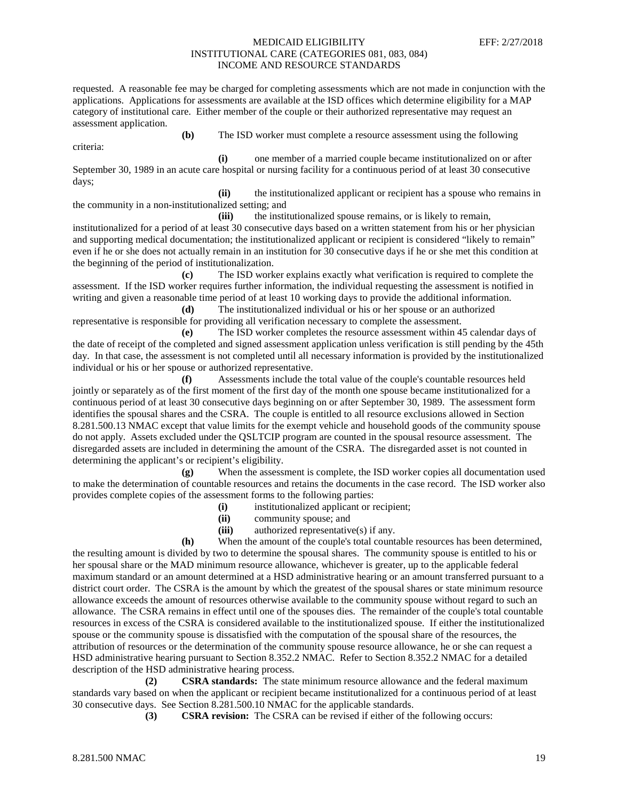requested. A reasonable fee may be charged for completing assessments which are not made in conjunction with the applications. Applications for assessments are available at the ISD offices which determine eligibility for a MAP category of institutional care. Either member of the couple or their authorized representative may request an assessment application.

**(b)** The ISD worker must complete a resource assessment using the following criteria:

**(i)** one member of a married couple became institutionalized on or after September 30, 1989 in an acute care hospital or nursing facility for a continuous period of at least 30 consecutive days;

**(ii)** the institutionalized applicant or recipient has a spouse who remains in the community in a non-institutionalized setting; and

**(iii)** the institutionalized spouse remains, or is likely to remain, institutionalized for a period of at least 30 consecutive days based on a written statement from his or her physician and supporting medical documentation; the institutionalized applicant or recipient is considered "likely to remain" even if he or she does not actually remain in an institution for 30 consecutive days if he or she met this condition at the beginning of the period of institutionalization.

**(c)** The ISD worker explains exactly what verification is required to complete the assessment. If the ISD worker requires further information, the individual requesting the assessment is notified in writing and given a reasonable time period of at least 10 working days to provide the additional information.

**(d)** The institutionalized individual or his or her spouse or an authorized representative is responsible for providing all verification necessary to complete the assessment.

**(e)** The ISD worker completes the resource assessment within 45 calendar days of the date of receipt of the completed and signed assessment application unless verification is still pending by the 45th day. In that case, the assessment is not completed until all necessary information is provided by the institutionalized individual or his or her spouse or authorized representative.

**(f)** Assessments include the total value of the couple's countable resources held jointly or separately as of the first moment of the first day of the month one spouse became institutionalized for a continuous period of at least 30 consecutive days beginning on or after September 30, 1989. The assessment form identifies the spousal shares and the CSRA. The couple is entitled to all resource exclusions allowed in Section 8.281.500.13 NMAC except that value limits for the exempt vehicle and household goods of the community spouse do not apply. Assets excluded under the QSLTCIP program are counted in the spousal resource assessment. The disregarded assets are included in determining the amount of the CSRA. The disregarded asset is not counted in determining the applicant's or recipient's eligibility.

**(g)** When the assessment is complete, the ISD worker copies all documentation used to make the determination of countable resources and retains the documents in the case record. The ISD worker also provides complete copies of the assessment forms to the following parties:

- **(i)** institutionalized applicant or recipient;
- **(ii)** community spouse; and
- **(iii)** authorized representative(s) if any.

**(h)** When the amount of the couple's total countable resources has been determined, the resulting amount is divided by two to determine the spousal shares. The community spouse is entitled to his or her spousal share or the MAD minimum resource allowance, whichever is greater, up to the applicable federal maximum standard or an amount determined at a HSD administrative hearing or an amount transferred pursuant to a district court order. The CSRA is the amount by which the greatest of the spousal shares or state minimum resource allowance exceeds the amount of resources otherwise available to the community spouse without regard to such an allowance. The CSRA remains in effect until one of the spouses dies. The remainder of the couple's total countable resources in excess of the CSRA is considered available to the institutionalized spouse. If either the institutionalized spouse or the community spouse is dissatisfied with the computation of the spousal share of the resources, the attribution of resources or the determination of the community spouse resource allowance, he or she can request a HSD administrative hearing pursuant to Section 8.352.2 NMAC. Refer to Section 8.352.2 NMAC for a detailed description of the HSD administrative hearing process.

**(2) CSRA standards:** The state minimum resource allowance and the federal maximum standards vary based on when the applicant or recipient became institutionalized for a continuous period of at least 30 consecutive days. See Section 8.281.500.10 NMAC for the applicable standards.

**(3) CSRA revision:** The CSRA can be revised if either of the following occurs: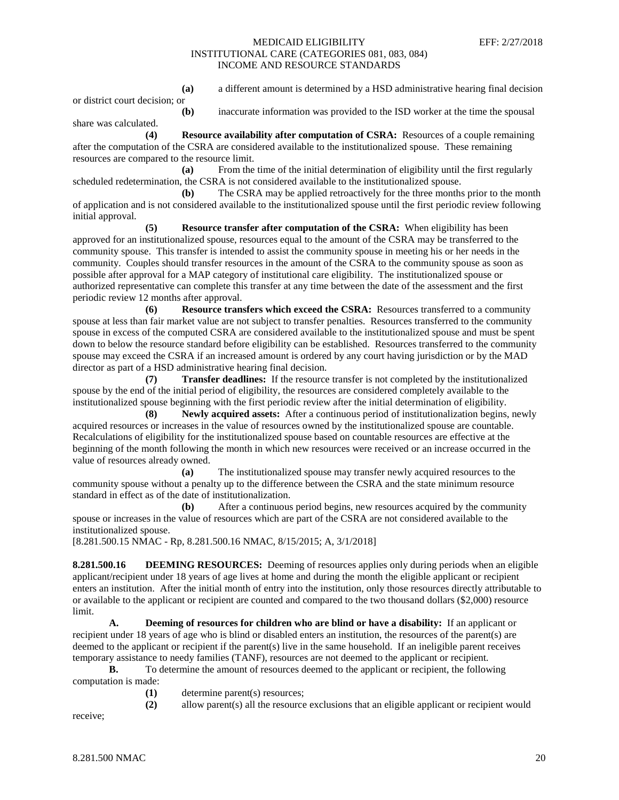**(a)** a different amount is determined by a HSD administrative hearing final decision

or district court decision; or

share was calculated.

**(b)** inaccurate information was provided to the ISD worker at the time the spousal

**(4) Resource availability after computation of CSRA:** Resources of a couple remaining after the computation of the CSRA are considered available to the institutionalized spouse. These remaining resources are compared to the resource limit.

**(a)** From the time of the initial determination of eligibility until the first regularly scheduled redetermination, the CSRA is not considered available to the institutionalized spouse.

**(b)** The CSRA may be applied retroactively for the three months prior to the month of application and is not considered available to the institutionalized spouse until the first periodic review following initial approval.

**(5) Resource transfer after computation of the CSRA:** When eligibility has been approved for an institutionalized spouse, resources equal to the amount of the CSRA may be transferred to the community spouse. This transfer is intended to assist the community spouse in meeting his or her needs in the community. Couples should transfer resources in the amount of the CSRA to the community spouse as soon as possible after approval for a MAP category of institutional care eligibility. The institutionalized spouse or authorized representative can complete this transfer at any time between the date of the assessment and the first periodic review 12 months after approval.

**(6) Resource transfers which exceed the CSRA:** Resources transferred to a community spouse at less than fair market value are not subject to transfer penalties. Resources transferred to the community spouse in excess of the computed CSRA are considered available to the institutionalized spouse and must be spent down to below the resource standard before eligibility can be established. Resources transferred to the community spouse may exceed the CSRA if an increased amount is ordered by any court having jurisdiction or by the MAD director as part of a HSD administrative hearing final decision.

**(7) Transfer deadlines:** If the resource transfer is not completed by the institutionalized spouse by the end of the initial period of eligibility, the resources are considered completely available to the institutionalized spouse beginning with the first periodic review after the initial determination of eligibility.

**(8) Newly acquired assets:** After a continuous period of institutionalization begins, newly acquired resources or increases in the value of resources owned by the institutionalized spouse are countable. Recalculations of eligibility for the institutionalized spouse based on countable resources are effective at the beginning of the month following the month in which new resources were received or an increase occurred in the value of resources already owned.

**(a)** The institutionalized spouse may transfer newly acquired resources to the community spouse without a penalty up to the difference between the CSRA and the state minimum resource standard in effect as of the date of institutionalization.

**(b)** After a continuous period begins, new resources acquired by the community spouse or increases in the value of resources which are part of the CSRA are not considered available to the institutionalized spouse.

[8.281.500.15 NMAC - Rp, 8.281.500.16 NMAC, 8/15/2015; A, 3/1/2018]

**8.281.500.16 DEEMING RESOURCES:** Deeming of resources applies only during periods when an eligible applicant/recipient under 18 years of age lives at home and during the month the eligible applicant or recipient enters an institution. After the initial month of entry into the institution, only those resources directly attributable to or available to the applicant or recipient are counted and compared to the two thousand dollars (\$2,000) resource limit.

**A. Deeming of resources for children who are blind or have a disability:** If an applicant or recipient under 18 years of age who is blind or disabled enters an institution, the resources of the parent(s) are deemed to the applicant or recipient if the parent(s) live in the same household. If an ineligible parent receives temporary assistance to needy families (TANF), resources are not deemed to the applicant or recipient.

**B.** To determine the amount of resources deemed to the applicant or recipient, the following computation is made:

**(1)** determine parent(s) resources;

**(2)** allow parent(s) all the resource exclusions that an eligible applicant or recipient would

receive;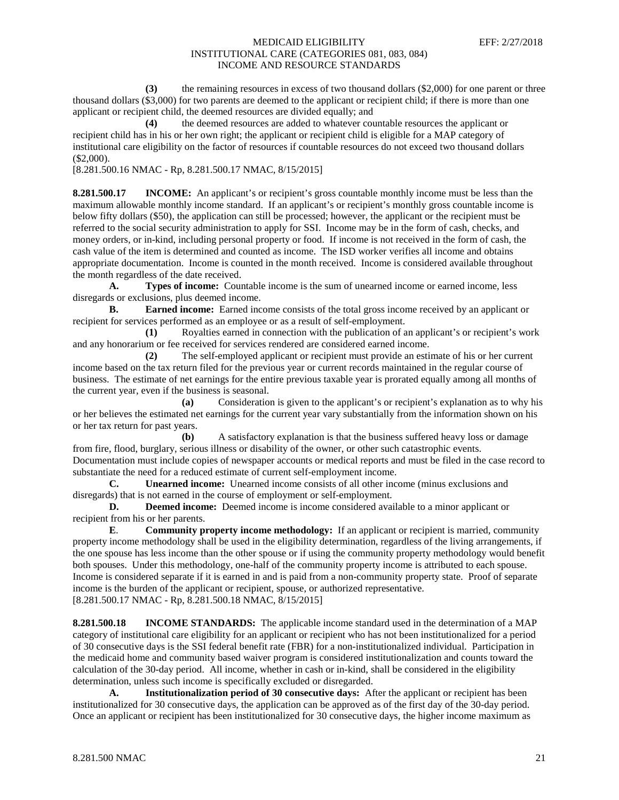**(3)** the remaining resources in excess of two thousand dollars (\$2,000) for one parent or three thousand dollars (\$3,000) for two parents are deemed to the applicant or recipient child; if there is more than one applicant or recipient child, the deemed resources are divided equally; and

**(4)** the deemed resources are added to whatever countable resources the applicant or recipient child has in his or her own right; the applicant or recipient child is eligible for a MAP category of institutional care eligibility on the factor of resources if countable resources do not exceed two thousand dollars (\$2,000).

[8.281.500.16 NMAC - Rp, 8.281.500.17 NMAC, 8/15/2015]

**8.281.500.17 INCOME:** An applicant's or recipient's gross countable monthly income must be less than the maximum allowable monthly income standard. If an applicant's or recipient's monthly gross countable income is below fifty dollars (\$50), the application can still be processed; however, the applicant or the recipient must be referred to the social security administration to apply for SSI. Income may be in the form of cash, checks, and money orders, or in-kind, including personal property or food. If income is not received in the form of cash, the cash value of the item is determined and counted as income. The ISD worker verifies all income and obtains appropriate documentation. Income is counted in the month received. Income is considered available throughout the month regardless of the date received.

**A. Types of income:** Countable income is the sum of unearned income or earned income, less disregards or exclusions, plus deemed income.

**B. Earned income:** Earned income consists of the total gross income received by an applicant or recipient for services performed as an employee or as a result of self-employment.

**(1)** Royalties earned in connection with the publication of an applicant's or recipient's work and any honorarium or fee received for services rendered are considered earned income.

**(2)** The self-employed applicant or recipient must provide an estimate of his or her current income based on the tax return filed for the previous year or current records maintained in the regular course of business. The estimate of net earnings for the entire previous taxable year is prorated equally among all months of the current year, even if the business is seasonal.

**(a)** Consideration is given to the applicant's or recipient's explanation as to why his or her believes the estimated net earnings for the current year vary substantially from the information shown on his or her tax return for past years.

**(b)** A satisfactory explanation is that the business suffered heavy loss or damage from fire, flood, burglary, serious illness or disability of the owner, or other such catastrophic events. Documentation must include copies of newspaper accounts or medical reports and must be filed in the case record to substantiate the need for a reduced estimate of current self-employment income.<br> **C.** Unearned income: Unearned income consists of all other income

Unearned income: Unearned income consists of all other income (minus exclusions and disregards) that is not earned in the course of employment or self-employment.

**D. Deemed income:** Deemed income is income considered available to a minor applicant or recipient from his or her parents.

**E**. **Community property income methodology:** If an applicant or recipient is married, community property income methodology shall be used in the eligibility determination, regardless of the living arrangements, if the one spouse has less income than the other spouse or if using the community property methodology would benefit both spouses. Under this methodology, one-half of the community property income is attributed to each spouse. Income is considered separate if it is earned in and is paid from a non-community property state. Proof of separate income is the burden of the applicant or recipient, spouse, or authorized representative. [8.281.500.17 NMAC - Rp, 8.281.500.18 NMAC, 8/15/2015]

**8.281.500.18 INCOME STANDARDS:** The applicable income standard used in the determination of a MAP category of institutional care eligibility for an applicant or recipient who has not been institutionalized for a period of 30 consecutive days is the SSI federal benefit rate (FBR) for a non-institutionalized individual. Participation in the medicaid home and community based waiver program is considered institutionalization and counts toward the calculation of the 30-day period. All income, whether in cash or in-kind, shall be considered in the eligibility determination, unless such income is specifically excluded or disregarded.

**A. Institutionalization period of 30 consecutive days:** After the applicant or recipient has been institutionalized for 30 consecutive days, the application can be approved as of the first day of the 30-day period. Once an applicant or recipient has been institutionalized for 30 consecutive days, the higher income maximum as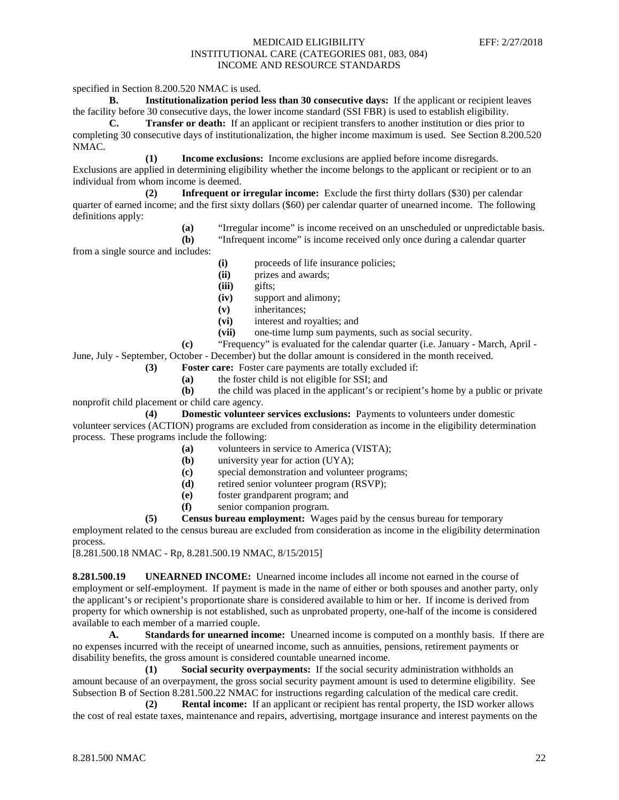specified in Section 8.200.520 NMAC is used.

**B. Institutionalization period less than 30 consecutive days:** If the applicant or recipient leaves the facility before 30 consecutive days, the lower income standard (SSI FBR) is used to establish eligibility.

**C. Transfer or death:** If an applicant or recipient transfers to another institution or dies prior to completing 30 consecutive days of institutionalization, the higher income maximum is used. See Section 8.200.520 NMAC.

**(1) Income exclusions:** Income exclusions are applied before income disregards. Exclusions are applied in determining eligibility whether the income belongs to the applicant or recipient or to an individual from whom income is deemed.

**(2) Infrequent or irregular income:** Exclude the first thirty dollars (\$30) per calendar quarter of earned income; and the first sixty dollars (\$60) per calendar quarter of unearned income. The following definitions apply:

> **(a)** "Irregular income" is income received on an unscheduled or unpredictable basis. **(b)** "Infrequent income" is income received only once during a calendar quarter

from a single source and includes:

- **(i)** proceeds of life insurance policies;
- **(ii)** prizes and awards;
- **(iii)** gifts;
- **(iv)** support and alimony;
- **(v)** inheritances;
- (vi) interest and royalties; and<br>(vii) one-time lump sum payme
- **(vii)** one-time lump sum payments, such as social security.
- **(c)** "Frequency" is evaluated for the calendar quarter (i.e. January March, April -

June, July - September, October - December) but the dollar amount is considered in the month received.

- **(3) Foster care:** Foster care payments are totally excluded if:
	- **(a)** the foster child is not eligible for SSI; and

**(b)** the child was placed in the applicant's or recipient's home by a public or private nonprofit child placement or child care agency.

**(4) Domestic volunteer services exclusions:** Payments to volunteers under domestic volunteer services (ACTION) programs are excluded from consideration as income in the eligibility determination process. These programs include the following:

- **(a)** volunteers in service to America (VISTA);
- **(b)** university year for action (UYA);
- **(c)** special demonstration and volunteer programs;
- **(d)** retired senior volunteer program (RSVP);
- **(e)** foster grandparent program; and
- **(f)** senior companion program.

**(5) Census bureau employment:** Wages paid by the census bureau for temporary employment related to the census bureau are excluded from consideration as income in the eligibility determination process.

[8.281.500.18 NMAC - Rp, 8.281.500.19 NMAC, 8/15/2015]

**8.281.500.19 UNEARNED INCOME:** Unearned income includes all income not earned in the course of employment or self-employment. If payment is made in the name of either or both spouses and another party, only the applicant's or recipient's proportionate share is considered available to him or her. If income is derived from property for which ownership is not established, such as unprobated property, one-half of the income is considered available to each member of a married couple.

**A. Standards for unearned income:** Unearned income is computed on a monthly basis. If there are no expenses incurred with the receipt of unearned income, such as annuities, pensions, retirement payments or disability benefits, the gross amount is considered countable unearned income.

**(1) Social security overpayments:** If the social security administration withholds an amount because of an overpayment, the gross social security payment amount is used to determine eligibility. See Subsection B of Section 8.281.500.22 NMAC for instructions regarding calculation of the medical care credit.

**(2) Rental income:** If an applicant or recipient has rental property, the ISD worker allows the cost of real estate taxes, maintenance and repairs, advertising, mortgage insurance and interest payments on the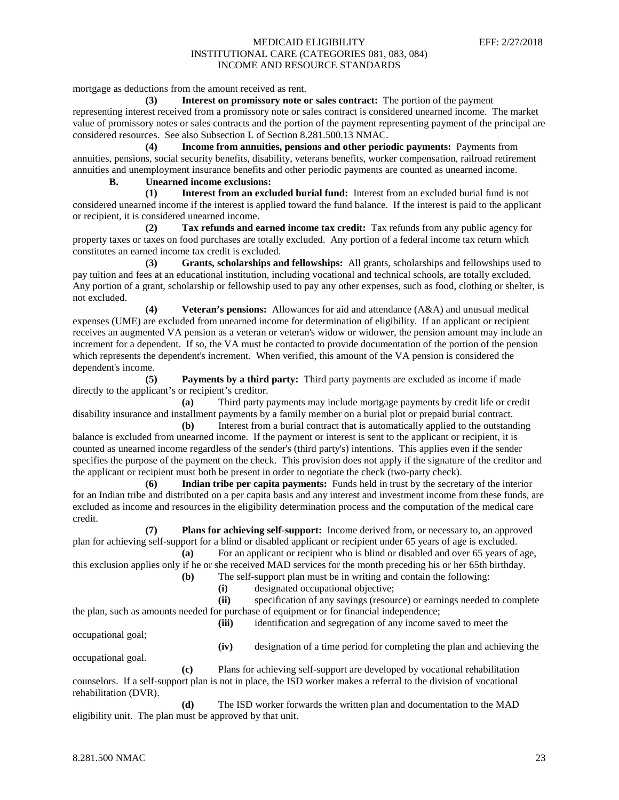mortgage as deductions from the amount received as rent.

**(3) Interest on promissory note or sales contract:** The portion of the payment representing interest received from a promissory note or sales contract is considered unearned income. The market value of promissory notes or sales contracts and the portion of the payment representing payment of the principal are considered resources. See also Subsection L of Section 8.281.500.13 NMAC.

**(4) Income from annuities, pensions and other periodic payments:** Payments from annuities, pensions, social security benefits, disability, veterans benefits, worker compensation, railroad retirement annuities and unemployment insurance benefits and other periodic payments are counted as unearned income. **B. Unearned income exclusions:**

# **(1) Interest from an excluded burial fund:** Interest from an excluded burial fund is not considered unearned income if the interest is applied toward the fund balance. If the interest is paid to the applicant or recipient, it is considered unearned income.

**(2) Tax refunds and earned income tax credit:** Tax refunds from any public agency for property taxes or taxes on food purchases are totally excluded. Any portion of a federal income tax return which constitutes an earned income tax credit is excluded.

**(3) Grants, scholarships and fellowships:** All grants, scholarships and fellowships used to pay tuition and fees at an educational institution, including vocational and technical schools, are totally excluded. Any portion of a grant, scholarship or fellowship used to pay any other expenses, such as food, clothing or shelter, is not excluded.

**(4) Veteran's pensions:** Allowances for aid and attendance (A&A) and unusual medical expenses (UME) are excluded from unearned income for determination of eligibility. If an applicant or recipient receives an augmented VA pension as a veteran or veteran's widow or widower, the pension amount may include an increment for a dependent. If so, the VA must be contacted to provide documentation of the portion of the pension which represents the dependent's increment. When verified, this amount of the VA pension is considered the dependent's income.

**(5) Payments by a third party:** Third party payments are excluded as income if made directly to the applicant's or recipient's creditor.

**(a)** Third party payments may include mortgage payments by credit life or credit disability insurance and installment payments by a family member on a burial plot or prepaid burial contract.

**(b)** Interest from a burial contract that is automatically applied to the outstanding balance is excluded from unearned income. If the payment or interest is sent to the applicant or recipient, it is counted as unearned income regardless of the sender's (third party's) intentions. This applies even if the sender specifies the purpose of the payment on the check. This provision does not apply if the signature of the creditor and the applicant or recipient must both be present in order to negotiate the check (two-party check).

**(6) Indian tribe per capita payments:** Funds held in trust by the secretary of the interior for an Indian tribe and distributed on a per capita basis and any interest and investment income from these funds, are excluded as income and resources in the eligibility determination process and the computation of the medical care credit.

**(7) Plans for achieving self-support:** Income derived from, or necessary to, an approved plan for achieving self-support for a blind or disabled applicant or recipient under 65 years of age is excluded.

**(a)** For an applicant or recipient who is blind or disabled and over 65 years of age, this exclusion applies only if he or she received MAD services for the month preceding his or her 65th birthday.

- **(b)** The self-support plan must be in writing and contain the following:
	- **(i)** designated occupational objective;

**(ii)** specification of any savings (resource) or earnings needed to complete the plan, such as amounts needed for purchase of equipment or for financial independence;

**(iii)** identification and segregation of any income saved to meet the

occupational goal;

**(iv)** designation of a time period for completing the plan and achieving the

occupational goal.

**(c)** Plans for achieving self-support are developed by vocational rehabilitation counselors. If a self-support plan is not in place, the ISD worker makes a referral to the division of vocational rehabilitation (DVR).

**(d)** The ISD worker forwards the written plan and documentation to the MAD eligibility unit. The plan must be approved by that unit.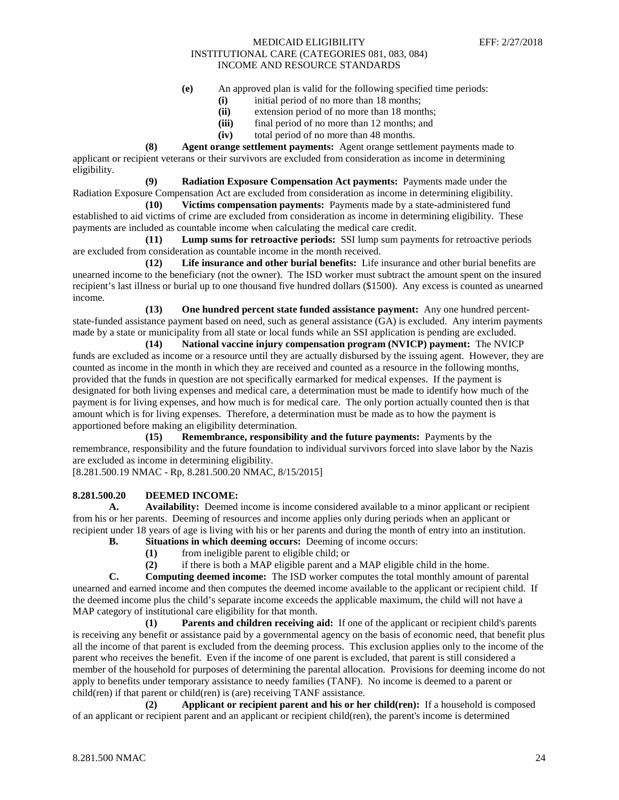- **(e)** An approved plan is valid for the following specified time periods:
	- **(i)** initial period of no more than 18 months;
	- (ii) extension period of no more than 18 months;<br>(iii) final period of no more than 12 months; and
	- final period of no more than 12 months; and
	- **(iv)** total period of no more than 48 months.

**(8) Agent orange settlement payments:** Agent orange settlement payments made to applicant or recipient veterans or their survivors are excluded from consideration as income in determining eligibility.

**(9) Radiation Exposure Compensation Act payments:** Payments made under the Radiation Exposure Compensation Act are excluded from consideration as income in determining eligibility.

**(10) Victims compensation payments:** Payments made by a state-administered fund established to aid victims of crime are excluded from consideration as income in determining eligibility. These payments are included as countable income when calculating the medical care credit.

**(11) Lump sums for retroactive periods:** SSI lump sum payments for retroactive periods are excluded from consideration as countable income in the month received.

**(12) Life insurance and other burial benefits:** Life insurance and other burial benefits are unearned income to the beneficiary (not the owner). The ISD worker must subtract the amount spent on the insured recipient's last illness or burial up to one thousand five hundred dollars (\$1500). Any excess is counted as unearned income.

**(13) One hundred percent state funded assistance payment:** Any one hundred percentstate-funded assistance payment based on need, such as general assistance (GA) is excluded. Any interim payments made by a state or municipality from all state or local funds while an SSI application is pending are excluded.

**(14) National vaccine injury compensation program (NVICP) payment:** The NVICP funds are excluded as income or a resource until they are actually disbursed by the issuing agent. However, they are counted as income in the month in which they are received and counted as a resource in the following months, provided that the funds in question are not specifically earmarked for medical expenses. If the payment is designated for both living expenses and medical care, a determination must be made to identify how much of the payment is for living expenses, and how much is for medical care. The only portion actually counted then is that amount which is for living expenses. Therefore, a determination must be made as to how the payment is apportioned before making an eligibility determination.

**(15) Remembrance, responsibility and the future payments:** Payments by the remembrance, responsibility and the future foundation to individual survivors forced into slave labor by the Nazis are excluded as income in determining eligibility.

[8.281.500.19 NMAC - Rp, 8.281.500.20 NMAC, 8/15/2015]

## **8.281.500.20 DEEMED INCOME:**

**A. Availability:** Deemed income is income considered available to a minor applicant or recipient from his or her parents. Deeming of resources and income applies only during periods when an applicant or recipient under 18 years of age is living with his or her parents and during the month of entry into an institution.

- **B. Situations in which deeming occurs:** Deeming of income occurs:
	- **(1)** from ineligible parent to eligible child; or
	- **(2)** if there is both a MAP eligible parent and a MAP eligible child in the home.

**C. Computing deemed income:** The ISD worker computes the total monthly amount of parental unearned and earned income and then computes the deemed income available to the applicant or recipient child. If the deemed income plus the child's separate income exceeds the applicable maximum, the child will not have a MAP category of institutional care eligibility for that month.

**(1) Parents and children receiving aid:** If one of the applicant or recipient child's parents is receiving any benefit or assistance paid by a governmental agency on the basis of economic need, that benefit plus all the income of that parent is excluded from the deeming process. This exclusion applies only to the income of the parent who receives the benefit. Even if the income of one parent is excluded, that parent is still considered a member of the household for purposes of determining the parental allocation. Provisions for deeming income do not apply to benefits under temporary assistance to needy families (TANF). No income is deemed to a parent or child(ren) if that parent or child(ren) is (are) receiving TANF assistance.

**(2) Applicant or recipient parent and his or her child(ren):** If a household is composed of an applicant or recipient parent and an applicant or recipient child(ren), the parent's income is determined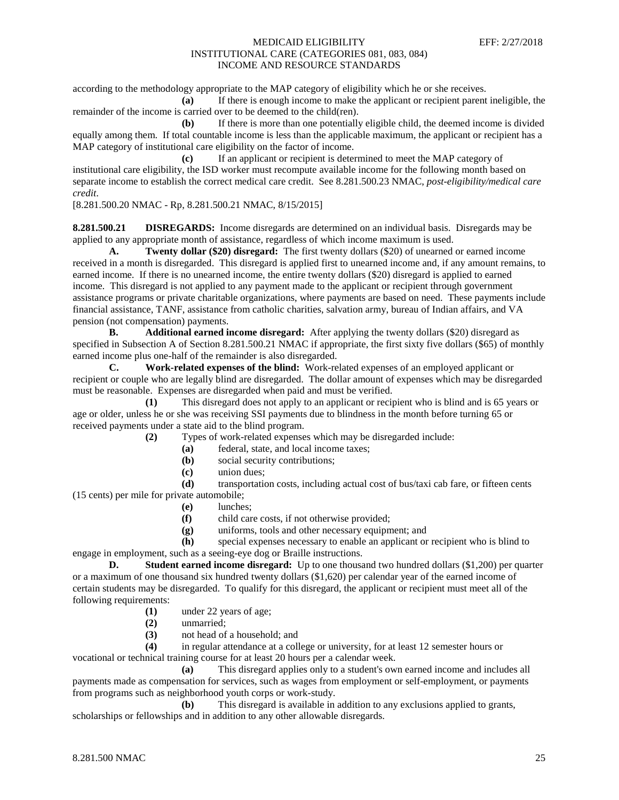according to the methodology appropriate to the MAP category of eligibility which he or she receives.

**(a)** If there is enough income to make the applicant or recipient parent ineligible, the remainder of the income is carried over to be deemed to the child(ren).

**(b)** If there is more than one potentially eligible child, the deemed income is divided equally among them. If total countable income is less than the applicable maximum, the applicant or recipient has a MAP category of institutional care eligibility on the factor of income.

**(c)** If an applicant or recipient is determined to meet the MAP category of institutional care eligibility, the ISD worker must recompute available income for the following month based on separate income to establish the correct medical care credit. See 8.281.500.23 NMAC, *post-eligibility/medical care credit*.

[8.281.500.20 NMAC - Rp, 8.281.500.21 NMAC, 8/15/2015]

**8.281.500.21 DISREGARDS:** Income disregards are determined on an individual basis. Disregards may be applied to any appropriate month of assistance, regardless of which income maximum is used.

**A. Twenty dollar (\$20) disregard:** The first twenty dollars (\$20) of unearned or earned income received in a month is disregarded. This disregard is applied first to unearned income and, if any amount remains, to earned income. If there is no unearned income, the entire twenty dollars (\$20) disregard is applied to earned income. This disregard is not applied to any payment made to the applicant or recipient through government assistance programs or private charitable organizations, where payments are based on need. These payments include financial assistance, TANF, assistance from catholic charities, salvation army, bureau of Indian affairs, and VA pension (not compensation) payments.

**B. Additional earned income disregard:** After applying the twenty dollars (\$20) disregard as specified in Subsection A of Section 8.281.500.21 NMAC if appropriate, the first sixty five dollars (\$65) of monthly earned income plus one-half of the remainder is also disregarded.<br> **C.** Work-related expenses of the blind: Work-re

**C. Work-related expenses of the blind:** Work-related expenses of an employed applicant or recipient or couple who are legally blind are disregarded. The dollar amount of expenses which may be disregarded must be reasonable. Expenses are disregarded when paid and must be verified.

**(1)** This disregard does not apply to an applicant or recipient who is blind and is 65 years or age or older, unless he or she was receiving SSI payments due to blindness in the month before turning 65 or received payments under a state aid to the blind program.

**(2)** Types of work-related expenses which may be disregarded include:

- **(a)** federal, state, and local income taxes;
- **(b)** social security contributions;
- **(c)** union dues;

**(d)** transportation costs, including actual cost of bus/taxi cab fare, or fifteen cents (15 cents) per mile for private automobile;

- **(e)** lunches;
- **(f)** child care costs, if not otherwise provided;
- **(g)** uniforms, tools and other necessary equipment; and

**(h)** special expenses necessary to enable an applicant or recipient who is blind to engage in employment, such as a seeing-eye dog or Braille instructions.

**D. Student earned income disregard:** Up to one thousand two hundred dollars (\$1,200) per quarter or a maximum of one thousand six hundred twenty dollars (\$1,620) per calendar year of the earned income of certain students may be disregarded. To qualify for this disregard, the applicant or recipient must meet all of the following requirements:

- **(1)** under 22 years of age;
- **(2)** unmarried;
- **(3)** not head of a household; and

**(4)** in regular attendance at a college or university, for at least 12 semester hours or vocational or technical training course for at least 20 hours per a calendar week.

**(a)** This disregard applies only to a student's own earned income and includes all payments made as compensation for services, such as wages from employment or self-employment, or payments from programs such as neighborhood youth corps or work-study.

**(b)** This disregard is available in addition to any exclusions applied to grants, scholarships or fellowships and in addition to any other allowable disregards.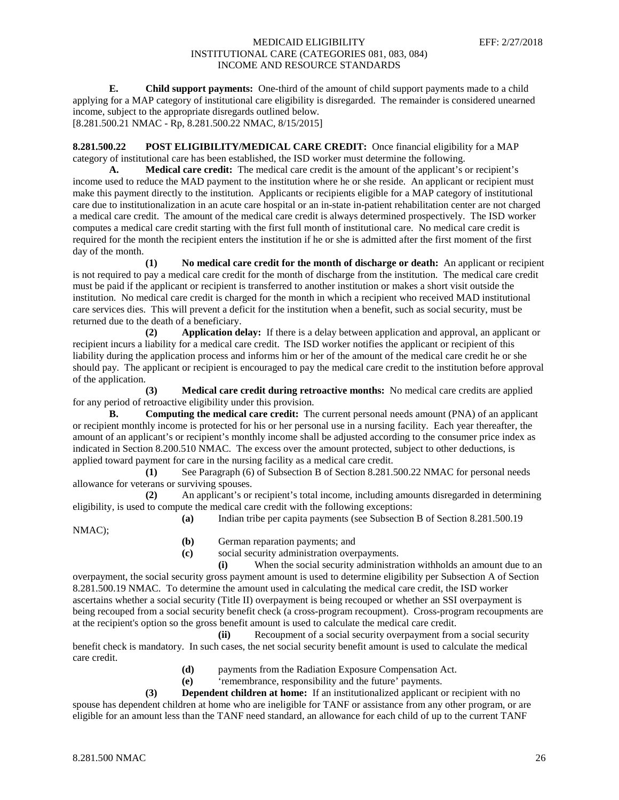**E. Child support payments:** One-third of the amount of child support payments made to a child applying for a MAP category of institutional care eligibility is disregarded. The remainder is considered unearned income, subject to the appropriate disregards outlined below. [8.281.500.21 NMAC - Rp, 8.281.500.22 NMAC, 8/15/2015]

**8.281.500.22 POST ELIGIBILITY/MEDICAL CARE CREDIT:** Once financial eligibility for a MAP category of institutional care has been established, the ISD worker must determine the following.

**A. Medical care credit:** The medical care credit is the amount of the applicant's or recipient's income used to reduce the MAD payment to the institution where he or she reside. An applicant or recipient must make this payment directly to the institution. Applicants or recipients eligible for a MAP category of institutional care due to institutionalization in an acute care hospital or an in-state in-patient rehabilitation center are not charged a medical care credit. The amount of the medical care credit is always determined prospectively. The ISD worker computes a medical care credit starting with the first full month of institutional care. No medical care credit is required for the month the recipient enters the institution if he or she is admitted after the first moment of the first day of the month.

**(1) No medical care credit for the month of discharge or death:** An applicant or recipient is not required to pay a medical care credit for the month of discharge from the institution. The medical care credit must be paid if the applicant or recipient is transferred to another institution or makes a short visit outside the institution. No medical care credit is charged for the month in which a recipient who received MAD institutional care services dies. This will prevent a deficit for the institution when a benefit, such as social security, must be returned due to the death of a beneficiary.

**(2) Application delay:** If there is a delay between application and approval, an applicant or recipient incurs a liability for a medical care credit. The ISD worker notifies the applicant or recipient of this liability during the application process and informs him or her of the amount of the medical care credit he or she should pay. The applicant or recipient is encouraged to pay the medical care credit to the institution before approval of the application.

**(3) Medical care credit during retroactive months:** No medical care credits are applied for any period of retroactive eligibility under this provision.

**B. Computing the medical care credit:** The current personal needs amount (PNA) of an applicant or recipient monthly income is protected for his or her personal use in a nursing facility. Each year thereafter, the amount of an applicant's or recipient's monthly income shall be adjusted according to the consumer price index as indicated in Section 8.200.510 NMAC. The excess over the amount protected, subject to other deductions, is applied toward payment for care in the nursing facility as a medical care credit.

**(1)** See Paragraph (6) of Subsection B of Section 8.281.500.22 NMAC for personal needs allowance for veterans or surviving spouses.

**(2)** An applicant's or recipient's total income, including amounts disregarded in determining eligibility, is used to compute the medical care credit with the following exceptions:

**(a)** Indian tribe per capita payments (see Subsection B of Section 8.281.500.19 NMAC);

- **(b)** German reparation payments; and
- **(c)** social security administration overpayments.

**(i)** When the social security administration withholds an amount due to an overpayment, the social security gross payment amount is used to determine eligibility per Subsection A of Section 8.281.500.19 NMAC. To determine the amount used in calculating the medical care credit, the ISD worker ascertains whether a social security (Title II) overpayment is being recouped or whether an SSI overpayment is being recouped from a social security benefit check (a cross-program recoupment). Cross-program recoupments are at the recipient's option so the gross benefit amount is used to calculate the medical care credit.

**(ii)** Recoupment of a social security overpayment from a social security benefit check is mandatory. In such cases, the net social security benefit amount is used to calculate the medical care credit.

- **(d)** payments from the Radiation Exposure Compensation Act.
- **(e)** 'remembrance, responsibility and the future' payments.

**(3) Dependent children at home:** If an institutionalized applicant or recipient with no spouse has dependent children at home who are ineligible for TANF or assistance from any other program, or are eligible for an amount less than the TANF need standard, an allowance for each child of up to the current TANF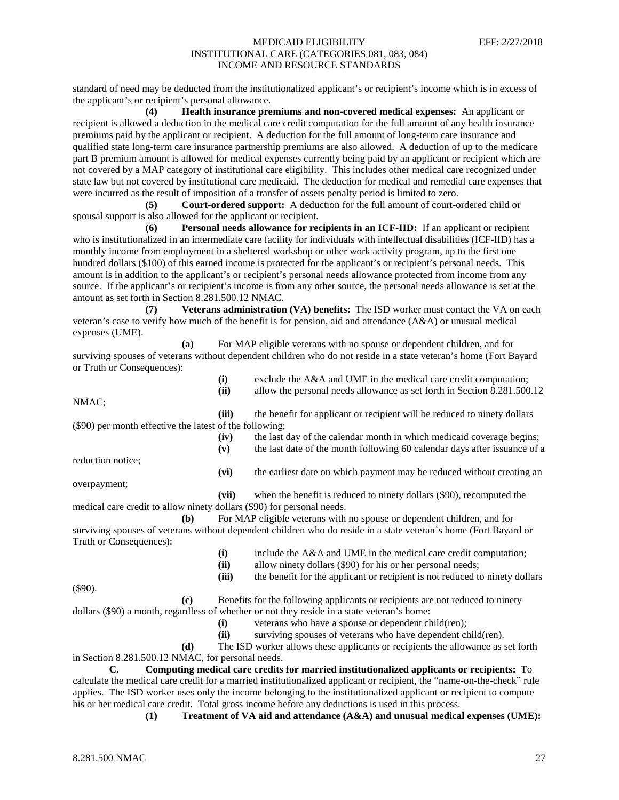standard of need may be deducted from the institutionalized applicant's or recipient's income which is in excess of the applicant's or recipient's personal allowance.

**(4) Health insurance premiums and non-covered medical expenses:** An applicant or recipient is allowed a deduction in the medical care credit computation for the full amount of any health insurance premiums paid by the applicant or recipient. A deduction for the full amount of long-term care insurance and qualified state long-term care insurance partnership premiums are also allowed. A deduction of up to the medicare part B premium amount is allowed for medical expenses currently being paid by an applicant or recipient which are not covered by a MAP category of institutional care eligibility. This includes other medical care recognized under state law but not covered by institutional care medicaid. The deduction for medical and remedial care expenses that were incurred as the result of imposition of a transfer of assets penalty period is limited to zero.

**(5) Court-ordered support:** A deduction for the full amount of court-ordered child or spousal support is also allowed for the applicant or recipient.

**(6) Personal needs allowance for recipients in an ICF-IID:** If an applicant or recipient who is institutionalized in an intermediate care facility for individuals with intellectual disabilities (ICF-IID) has a monthly income from employment in a sheltered workshop or other work activity program, up to the first one hundred dollars (\$100) of this earned income is protected for the applicant's or recipient's personal needs. This amount is in addition to the applicant's or recipient's personal needs allowance protected from income from any source. If the applicant's or recipient's income is from any other source, the personal needs allowance is set at the amount as set forth in Section 8.281.500.12 NMAC.

**(7) Veterans administration (VA) benefits:** The ISD worker must contact the VA on each veteran's case to verify how much of the benefit is for pension, aid and attendance (A&A) or unusual medical expenses (UME).

|                            | For MAP eligible veterans with no spouse or dependent children, and for                                           |
|----------------------------|-------------------------------------------------------------------------------------------------------------------|
|                            | surviving spouses of veterans without dependent children who do not reside in a state veteran's home (Fort Bayard |
| or Truth or Consequences): |                                                                                                                   |

| (i)  | exclude the $A&A$ and UME in the medical care credit computation;       |
|------|-------------------------------------------------------------------------|
| (ii) | allow the personal needs allowance as set forth in Section 8.281.500.12 |

NMAC;

**(iii)** the benefit for applicant or recipient will be reduced to ninety dollars (\$90) per month effective the latest of the following;

reduction notice;

**(vi)** the earliest date on which payment may be reduced without creating an

**(iv)** the last day of the calendar month in which medicaid coverage begins; **(v)** the last date of the month following 60 calendar days after issuance of a

overpayment;

**(vii)** when the benefit is reduced to ninety dollars (\$90), recomputed the medical care credit to allow ninety dollars (\$90) for personal needs.

**(b)** For MAP eligible veterans with no spouse or dependent children, and for surviving spouses of veterans without dependent children who do reside in a state veteran's home (Fort Bayard or Truth or Consequences):

| $\bf(i)$ |  |  |  |  |  | include the A&A and UME in the medical care credit computation; |
|----------|--|--|--|--|--|-----------------------------------------------------------------|
|----------|--|--|--|--|--|-----------------------------------------------------------------|

**(iii)** the benefit for the applicant or recipient is not reduced to ninety dollars

**(ii)** allow ninety dollars (\$90) for his or her personal needs;

(\$90).

- **(c)** Benefits for the following applicants or recipients are not reduced to ninety dollars (\$90) a month, regardless of whether or not they reside in a state veteran's home:
	-
	- **(i)** veterans who have a spouse or dependent child(ren);
	- **(ii)** surviving spouses of veterans who have dependent child(ren).

**(d)** The ISD worker allows these applicants or recipients the allowance as set forth in Section 8.281.500.12 NMAC, for personal needs.

**C. Computing medical care credits for married institutionalized applicants or recipients:** To calculate the medical care credit for a married institutionalized applicant or recipient, the "name-on-the-check" rule applies. The ISD worker uses only the income belonging to the institutionalized applicant or recipient to compute his or her medical care credit. Total gross income before any deductions is used in this process.

**(1) Treatment of VA aid and attendance (A&A) and unusual medical expenses (UME):**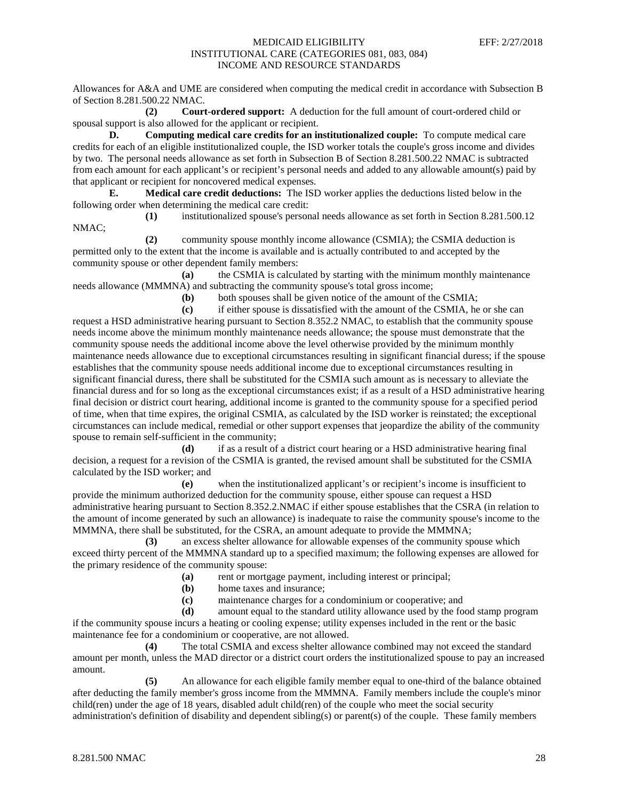Allowances for A&A and UME are considered when computing the medical credit in accordance with Subsection B of Section 8.281.500.22 NMAC.

**(2) Court-ordered support:** A deduction for the full amount of court-ordered child or spousal support is also allowed for the applicant or recipient.

**D. Computing medical care credits for an institutionalized couple:** To compute medical care credits for each of an eligible institutionalized couple, the ISD worker totals the couple's gross income and divides by two. The personal needs allowance as set forth in Subsection B of Section 8.281.500.22 NMAC is subtracted from each amount for each applicant's or recipient's personal needs and added to any allowable amount(s) paid by that applicant or recipient for noncovered medical expenses.

**E. Medical care credit deductions:** The ISD worker applies the deductions listed below in the following order when determining the medical care credit:

**(1)** institutionalized spouse's personal needs allowance as set forth in Section 8.281.500.12 NMAC;

**(2)** community spouse monthly income allowance (CSMIA); the CSMIA deduction is permitted only to the extent that the income is available and is actually contributed to and accepted by the community spouse or other dependent family members:

**(a)** the CSMIA is calculated by starting with the minimum monthly maintenance needs allowance (MMMNA) and subtracting the community spouse's total gross income;

**(b)** both spouses shall be given notice of the amount of the CSMIA;

**(c)** if either spouse is dissatisfied with the amount of the CSMIA, he or she can request a HSD administrative hearing pursuant to Section 8.352.2 NMAC, to establish that the community spouse needs income above the minimum monthly maintenance needs allowance; the spouse must demonstrate that the community spouse needs the additional income above the level otherwise provided by the minimum monthly maintenance needs allowance due to exceptional circumstances resulting in significant financial duress; if the spouse establishes that the community spouse needs additional income due to exceptional circumstances resulting in significant financial duress, there shall be substituted for the CSMIA such amount as is necessary to alleviate the financial duress and for so long as the exceptional circumstances exist; if as a result of a HSD administrative hearing final decision or district court hearing, additional income is granted to the community spouse for a specified period of time, when that time expires, the original CSMIA, as calculated by the ISD worker is reinstated; the exceptional circumstances can include medical, remedial or other support expenses that jeopardize the ability of the community spouse to remain self-sufficient in the community;

**(d)** if as a result of a district court hearing or a HSD administrative hearing final decision, a request for a revision of the CSMIA is granted, the revised amount shall be substituted for the CSMIA calculated by the ISD worker; and

**(e)** when the institutionalized applicant's or recipient's income is insufficient to provide the minimum authorized deduction for the community spouse, either spouse can request a HSD administrative hearing pursuant to Section 8.352.2.NMAC if either spouse establishes that the CSRA (in relation to the amount of income generated by such an allowance) is inadequate to raise the community spouse's income to the MMMNA, there shall be substituted, for the CSRA, an amount adequate to provide the MMMNA;

**(3)** an excess shelter allowance for allowable expenses of the community spouse which exceed thirty percent of the MMMNA standard up to a specified maximum; the following expenses are allowed for the primary residence of the community spouse:

- **(a)** rent or mortgage payment, including interest or principal;
- **(b)** home taxes and insurance;

(c) maintenance charges for a condominium or cooperative; and (d) amount equal to the standard utility allowance used by the fo

amount equal to the standard utility allowance used by the food stamp program if the community spouse incurs a heating or cooling expense; utility expenses included in the rent or the basic maintenance fee for a condominium or cooperative, are not allowed.

**(4)** The total CSMIA and excess shelter allowance combined may not exceed the standard amount per month, unless the MAD director or a district court orders the institutionalized spouse to pay an increased amount.

**(5)** An allowance for each eligible family member equal to one-third of the balance obtained after deducting the family member's gross income from the MMMNA. Family members include the couple's minor child(ren) under the age of 18 years, disabled adult child(ren) of the couple who meet the social security administration's definition of disability and dependent sibling(s) or parent(s) of the couple. These family members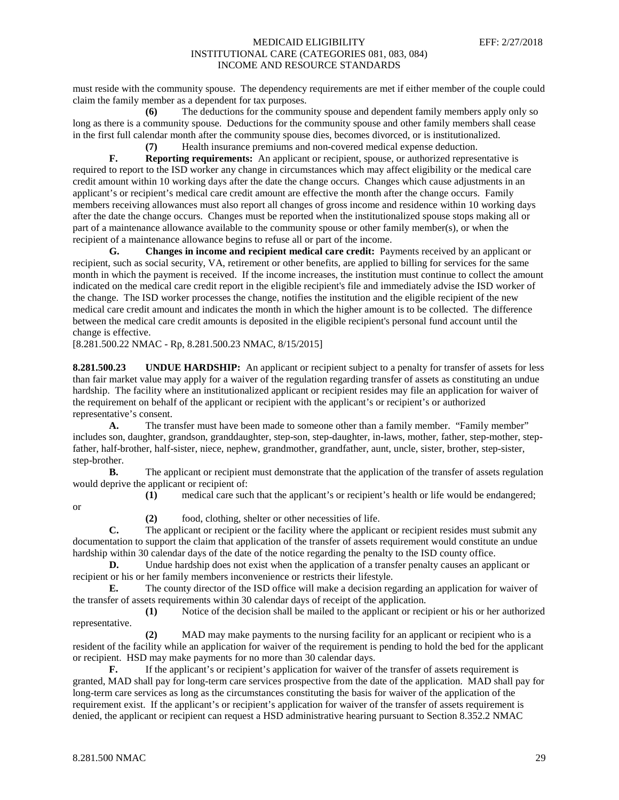must reside with the community spouse. The dependency requirements are met if either member of the couple could claim the family member as a dependent for tax purposes.

**(6)** The deductions for the community spouse and dependent family members apply only so long as there is a community spouse. Deductions for the community spouse and other family members shall cease in the first full calendar month after the community spouse dies, becomes divorced, or is institutionalized.

**(7)** Health insurance premiums and non-covered medical expense deduction.

**F. Reporting requirements:** An applicant or recipient, spouse, or authorized representative is required to report to the ISD worker any change in circumstances which may affect eligibility or the medical care credit amount within 10 working days after the date the change occurs. Changes which cause adjustments in an applicant's or recipient's medical care credit amount are effective the month after the change occurs. Family members receiving allowances must also report all changes of gross income and residence within 10 working days after the date the change occurs. Changes must be reported when the institutionalized spouse stops making all or part of a maintenance allowance available to the community spouse or other family member(s), or when the recipient of a maintenance allowance begins to refuse all or part of the income.

**G. Changes in income and recipient medical care credit:** Payments received by an applicant or recipient, such as social security, VA, retirement or other benefits, are applied to billing for services for the same month in which the payment is received. If the income increases, the institution must continue to collect the amount indicated on the medical care credit report in the eligible recipient's file and immediately advise the ISD worker of the change. The ISD worker processes the change, notifies the institution and the eligible recipient of the new medical care credit amount and indicates the month in which the higher amount is to be collected. The difference between the medical care credit amounts is deposited in the eligible recipient's personal fund account until the change is effective.

[8.281.500.22 NMAC - Rp, 8.281.500.23 NMAC, 8/15/2015]

**8.281.500.23 UNDUE HARDSHIP:** An applicant or recipient subject to a penalty for transfer of assets for less than fair market value may apply for a waiver of the regulation regarding transfer of assets as constituting an undue hardship. The facility where an institutionalized applicant or recipient resides may file an application for waiver of the requirement on behalf of the applicant or recipient with the applicant's or recipient's or authorized representative's consent.

**A.** The transfer must have been made to someone other than a family member. "Family member" includes son, daughter, grandson, granddaughter, step-son, step-daughter, in-laws, mother, father, step-mother, stepfather, half-brother, half-sister, niece, nephew, grandmother, grandfather, aunt, uncle, sister, brother, step-sister, step-brother.

**B.** The applicant or recipient must demonstrate that the application of the transfer of assets regulation would deprive the applicant or recipient of:

**(1)** medical care such that the applicant's or recipient's health or life would be endangered;

or

**(2)** food, clothing, shelter or other necessities of life.

**C.** The applicant or recipient or the facility where the applicant or recipient resides must submit any documentation to support the claim that application of the transfer of assets requirement would constitute an undue hardship within 30 calendar days of the date of the notice regarding the penalty to the ISD county office.

**D.** Undue hardship does not exist when the application of a transfer penalty causes an applicant or recipient or his or her family members inconvenience or restricts their lifestyle.

**E.** The county director of the ISD office will make a decision regarding an application for waiver of the transfer of assets requirements within 30 calendar days of receipt of the application.

**(1)** Notice of the decision shall be mailed to the applicant or recipient or his or her authorized representative.

**(2)** MAD may make payments to the nursing facility for an applicant or recipient who is a resident of the facility while an application for waiver of the requirement is pending to hold the bed for the applicant or recipient. HSD may make payments for no more than 30 calendar days.

**F.** If the applicant's or recipient's application for waiver of the transfer of assets requirement is granted, MAD shall pay for long-term care services prospective from the date of the application. MAD shall pay for long-term care services as long as the circumstances constituting the basis for waiver of the application of the requirement exist. If the applicant's or recipient's application for waiver of the transfer of assets requirement is denied, the applicant or recipient can request a HSD administrative hearing pursuant to Section 8.352.2 NMAC